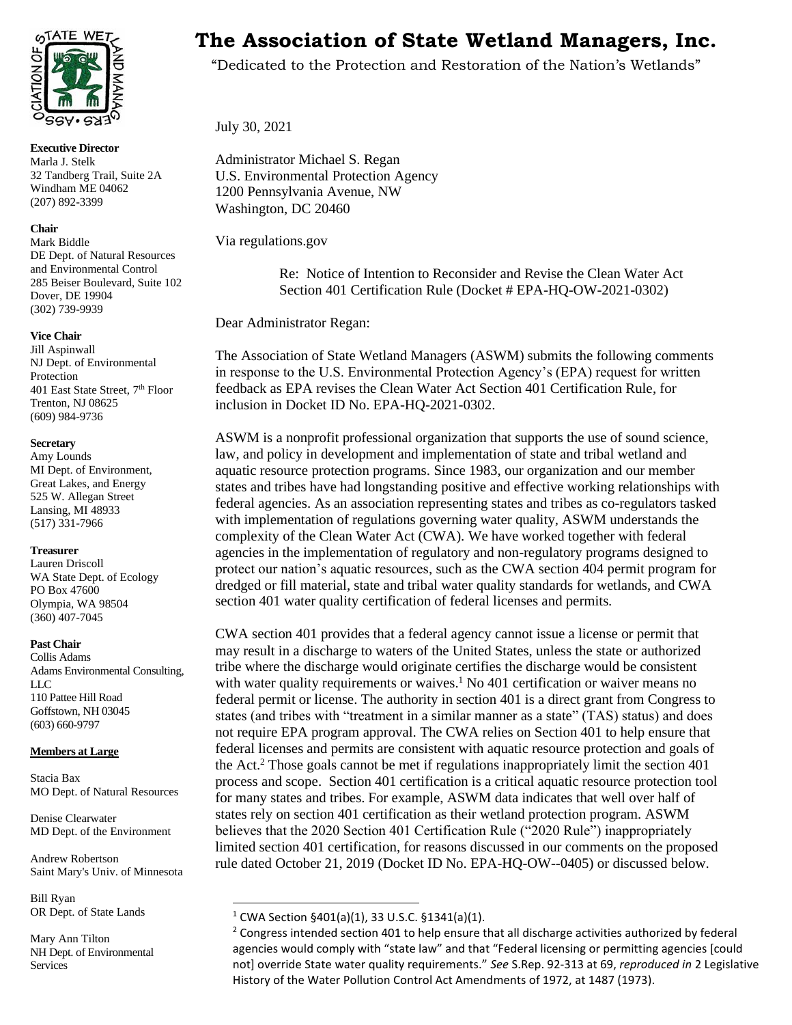

**Executive Director** Marla J. Stelk 32 Tandberg Trail, Suite 2A Windham ME 04062 (207) 892-3399

#### **Chair**

Mark Biddle DE Dept. of Natural Resources and Environmental Control 285 Beiser Boulevard, Suite 102 Dover, DE 19904 (302) 739-9939

#### **Vice Chair**

Jill Aspinwall NJ Dept. of Environmental Protection 401 East State Street, 7<sup>th</sup> Floor Trenton, NJ 08625 (609) 984-9736

#### **Secretary**

Amy Lounds MI Dept. of Environment, Great Lakes, and Energy 525 W. Allegan Street Lansing, MI 48933 (517) 331-7966

#### **Treasurer**

Lauren Driscoll WA State Dept. of Ecology PO Box 47600 Olympia, WA 98504 (360) 407-7045

#### **Past Chair**

Collis Adams Adams Environmental Consulting, LLC 110 Pattee Hill Road Goffstown, NH 03045 (603) 660-9797

#### **Members at Large**

Stacia Bax MO Dept. of Natural Resources

Denise Clearwater MD Dept. of the Environment

Andrew Robertson Saint Mary's Univ. of Minnesota

Bill Ryan OR Dept. of State Lands

Mary Ann Tilton NH Dept. of Environmental Services

# **The Association of State Wetland Managers, Inc.**

"Dedicated to the Protection and Restoration of the Nation's Wetlands"

July 30, 2021

Administrator Michael S. Regan U.S. Environmental Protection Agency 1200 Pennsylvania Avenue, NW Washington, DC 20460

Via regulations.gov

Re: Notice of Intention to Reconsider and Revise the Clean Water Act Section 401 Certification Rule (Docket # EPA-HQ-OW-2021-0302)

Dear Administrator Regan:

The Association of State Wetland Managers (ASWM) submits the following comments in response to the U.S. Environmental Protection Agency's (EPA) request for written feedback as EPA revises the Clean Water Act Section 401 Certification Rule, for inclusion in Docket ID No. EPA-HQ-2021-0302.

ASWM is a nonprofit professional organization that supports the use of sound science, law, and policy in development and implementation of state and tribal wetland and aquatic resource protection programs. Since 1983, our organization and our member states and tribes have had longstanding positive and effective working relationships with federal agencies. As an association representing states and tribes as co-regulators tasked with implementation of regulations governing water quality, ASWM understands the complexity of the Clean Water Act (CWA). We have worked together with federal agencies in the implementation of regulatory and non-regulatory programs designed to protect our nation's aquatic resources, such as the CWA section 404 permit program for dredged or fill material, state and tribal water quality standards for wetlands, and CWA section 401 water quality certification of federal licenses and permits.

CWA section 401 provides that a federal agency cannot issue a license or permit that may result in a discharge to waters of the United States, unless the state or authorized tribe where the discharge would originate certifies the discharge would be consistent with water quality requirements or waives.<sup>1</sup> No 401 certification or waiver means no federal permit or license. The authority in section 401 is a direct grant from Congress to states (and tribes with "treatment in a similar manner as a state" (TAS) status) and does not require EPA program approval. The CWA relies on Section 401 to help ensure that federal licenses and permits are consistent with aquatic resource protection and goals of the Act.<sup>2</sup> Those goals cannot be met if regulations inappropriately limit the section 401 process and scope. Section 401 certification is a critical aquatic resource protection tool for many states and tribes. For example, ASWM data indicates that well over half of states rely on section 401 certification as their wetland protection program. ASWM believes that the 2020 Section 401 Certification Rule ("2020 Rule") inappropriately limited section 401 certification, for reasons discussed in our comments on the proposed rule dated October 21, 2019 (Docket ID No. EPA-HQ-OW--0405) or discussed below.

 $1$  CWA Section §401(a)(1), 33 U.S.C. §1341(a)(1).

<sup>&</sup>lt;sup>2</sup> Congress intended section 401 to help ensure that all discharge activities authorized by federal agencies would comply with "state law" and that "Federal licensing or permitting agencies [could not] override State water quality requirements." *See* S.Rep. 92-313 at 69, *reproduced in* 2 Legislative History of the Water Pollution Control Act Amendments of 1972, at 1487 (1973).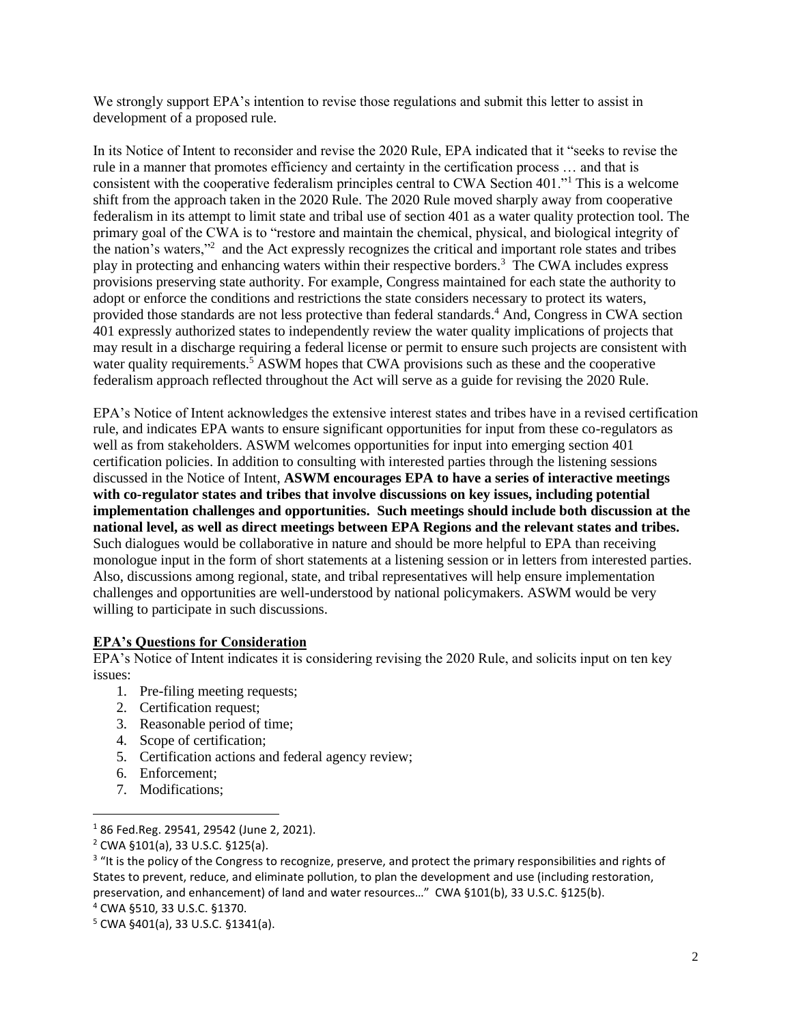We strongly support EPA's intention to revise those regulations and submit this letter to assist in development of a proposed rule.

In its Notice of Intent to reconsider and revise the 2020 Rule, EPA indicated that it "seeks to revise the rule in a manner that promotes efficiency and certainty in the certification process … and that is consistent with the cooperative federalism principles central to CWA Section 401."<sup>1</sup> This is a welcome shift from the approach taken in the 2020 Rule. The 2020 Rule moved sharply away from cooperative federalism in its attempt to limit state and tribal use of section 401 as a water quality protection tool. The primary goal of the CWA is to "restore and maintain the chemical, physical, and biological integrity of the nation's waters,"<sup>2</sup> and the Act expressly recognizes the critical and important role states and tribes play in protecting and enhancing waters within their respective borders.<sup>3</sup> The CWA includes express provisions preserving state authority. For example, Congress maintained for each state the authority to adopt or enforce the conditions and restrictions the state considers necessary to protect its waters, provided those standards are not less protective than federal standards.<sup>4</sup> And, Congress in CWA section 401 expressly authorized states to independently review the water quality implications of projects that may result in a discharge requiring a federal license or permit to ensure such projects are consistent with water quality requirements.<sup>5</sup> ASWM hopes that CWA provisions such as these and the cooperative federalism approach reflected throughout the Act will serve as a guide for revising the 2020 Rule.

EPA's Notice of Intent acknowledges the extensive interest states and tribes have in a revised certification rule, and indicates EPA wants to ensure significant opportunities for input from these co-regulators as well as from stakeholders. ASWM welcomes opportunities for input into emerging section 401 certification policies. In addition to consulting with interested parties through the listening sessions discussed in the Notice of Intent, **ASWM encourages EPA to have a series of interactive meetings with co-regulator states and tribes that involve discussions on key issues, including potential implementation challenges and opportunities. Such meetings should include both discussion at the national level, as well as direct meetings between EPA Regions and the relevant states and tribes.** Such dialogues would be collaborative in nature and should be more helpful to EPA than receiving monologue input in the form of short statements at a listening session or in letters from interested parties. Also, discussions among regional, state, and tribal representatives will help ensure implementation challenges and opportunities are well-understood by national policymakers. ASWM would be very willing to participate in such discussions.

#### **EPA's Questions for Consideration**

EPA's Notice of Intent indicates it is considering revising the 2020 Rule, and solicits input on ten key issues:

- 1. Pre-filing meeting requests;
- 2. Certification request;
- 3. Reasonable period of time;
- 4. Scope of certification;
- 5. Certification actions and federal agency review;
- 6. Enforcement;
- 7. Modifications;

<sup>1</sup> 86 Fed.Reg. 29541, 29542 (June 2, 2021).

<sup>2</sup> CWA §101(a), 33 U.S.C. §125(a).

<sup>&</sup>lt;sup>3</sup> "It is the policy of the Congress to recognize, preserve, and protect the primary responsibilities and rights of States to prevent, reduce, and eliminate pollution, to plan the development and use (including restoration, preservation, and enhancement) of land and water resources…" CWA §101(b), 33 U.S.C. §125(b). <sup>4</sup> CWA §510, 33 U.S.C. §1370.

<sup>5</sup> CWA §401(a), 33 U.S.C. §1341(a).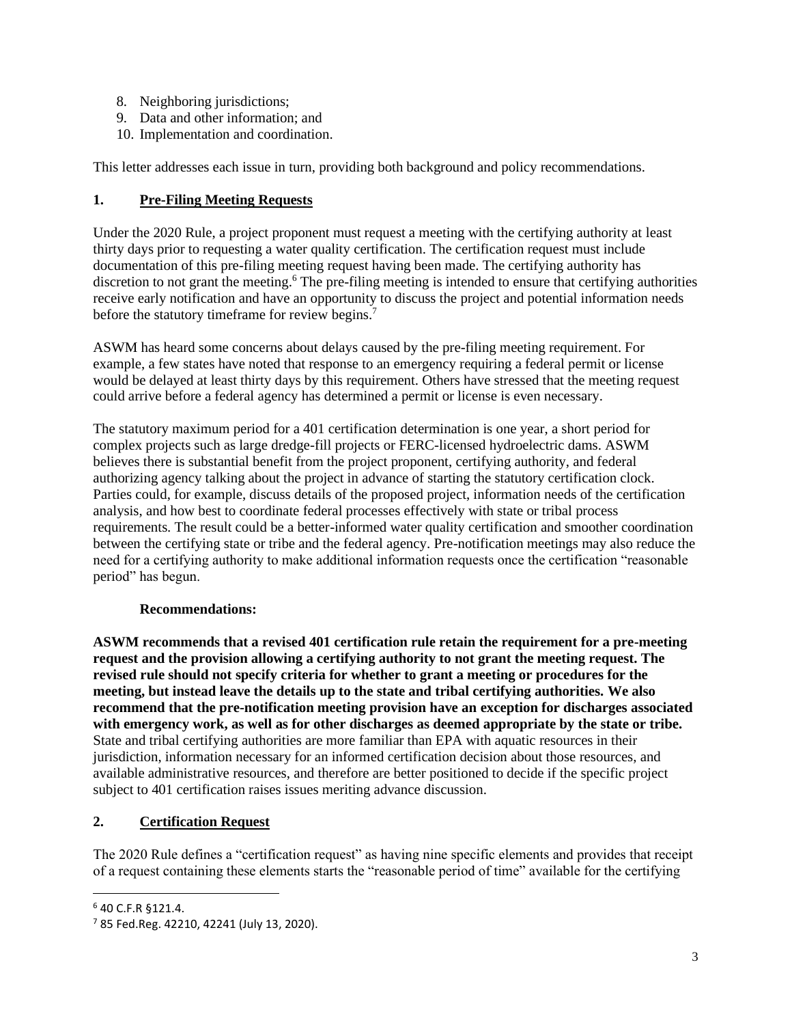- 8. Neighboring jurisdictions;
- 9. Data and other information; and
- 10. Implementation and coordination.

This letter addresses each issue in turn, providing both background and policy recommendations.

# **1. Pre-Filing Meeting Requests**

Under the 2020 Rule, a project proponent must request a meeting with the certifying authority at least thirty days prior to requesting a water quality certification. The certification request must include documentation of this pre-filing meeting request having been made. The certifying authority has discretion to not grant the meeting.<sup>6</sup> The pre-filing meeting is intended to ensure that certifying authorities receive early notification and have an opportunity to discuss the project and potential information needs before the statutory timeframe for review begins.<sup>7</sup>

ASWM has heard some concerns about delays caused by the pre-filing meeting requirement. For example, a few states have noted that response to an emergency requiring a federal permit or license would be delayed at least thirty days by this requirement. Others have stressed that the meeting request could arrive before a federal agency has determined a permit or license is even necessary.

The statutory maximum period for a 401 certification determination is one year, a short period for complex projects such as large dredge-fill projects or FERC-licensed hydroelectric dams. ASWM believes there is substantial benefit from the project proponent, certifying authority, and federal authorizing agency talking about the project in advance of starting the statutory certification clock. Parties could, for example, discuss details of the proposed project, information needs of the certification analysis, and how best to coordinate federal processes effectively with state or tribal process requirements. The result could be a better-informed water quality certification and smoother coordination between the certifying state or tribe and the federal agency. Pre-notification meetings may also reduce the need for a certifying authority to make additional information requests once the certification "reasonable period" has begun.

# **Recommendations:**

**ASWM recommends that a revised 401 certification rule retain the requirement for a pre-meeting request and the provision allowing a certifying authority to not grant the meeting request. The revised rule should not specify criteria for whether to grant a meeting or procedures for the meeting, but instead leave the details up to the state and tribal certifying authorities. We also recommend that the pre-notification meeting provision have an exception for discharges associated with emergency work, as well as for other discharges as deemed appropriate by the state or tribe.** State and tribal certifying authorities are more familiar than EPA with aquatic resources in their jurisdiction, information necessary for an informed certification decision about those resources, and available administrative resources, and therefore are better positioned to decide if the specific project subject to 401 certification raises issues meriting advance discussion.

# **2. Certification Request**

The 2020 Rule defines a "certification request" as having nine specific elements and provides that receipt of a request containing these elements starts the "reasonable period of time" available for the certifying

<sup>6</sup> 40 C.F.R §121.4.

<sup>7</sup> 85 Fed.Reg. 42210, 42241 (July 13, 2020).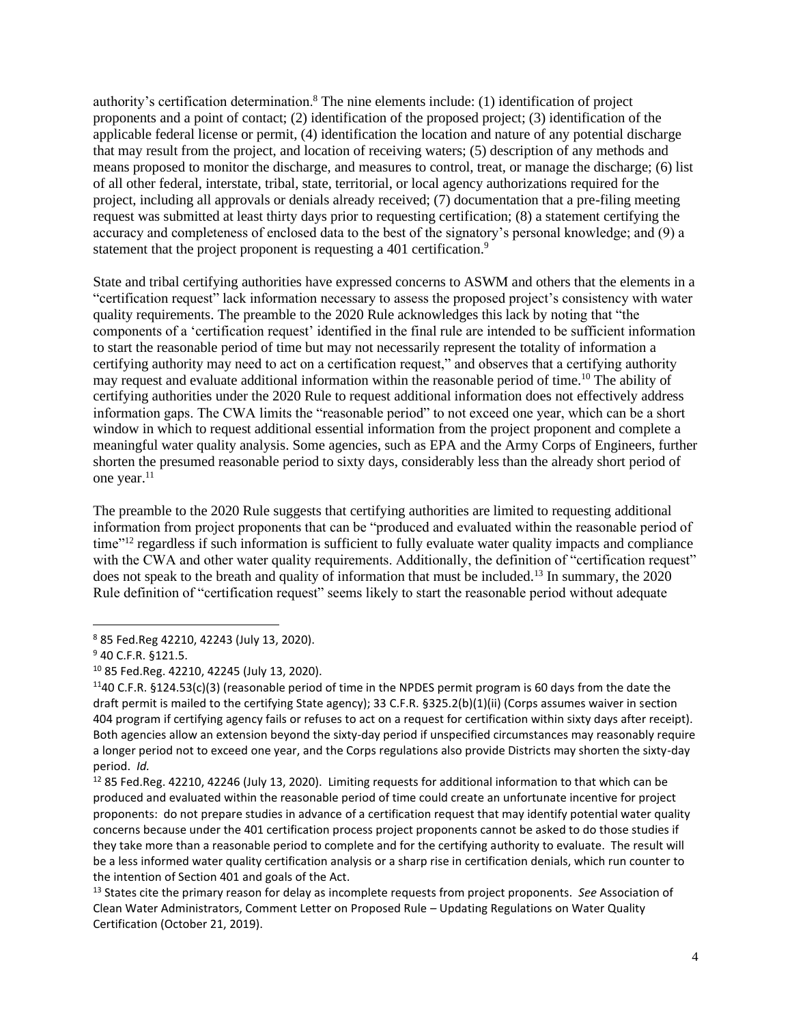authority's certification determination.<sup>8</sup> The nine elements include: (1) identification of project proponents and a point of contact; (2) identification of the proposed project; (3) identification of the applicable federal license or permit, (4) identification the location and nature of any potential discharge that may result from the project, and location of receiving waters; (5) description of any methods and means proposed to monitor the discharge, and measures to control, treat, or manage the discharge; (6) list of all other federal, interstate, tribal, state, territorial, or local agency authorizations required for the project, including all approvals or denials already received; (7) documentation that a pre-filing meeting request was submitted at least thirty days prior to requesting certification; (8) a statement certifying the accuracy and completeness of enclosed data to the best of the signatory's personal knowledge; and (9) a statement that the project proponent is requesting a 401 certification.<sup>9</sup>

State and tribal certifying authorities have expressed concerns to ASWM and others that the elements in a "certification request" lack information necessary to assess the proposed project's consistency with water quality requirements. The preamble to the 2020 Rule acknowledges this lack by noting that "the components of a 'certification request' identified in the final rule are intended to be sufficient information to start the reasonable period of time but may not necessarily represent the totality of information a certifying authority may need to act on a certification request," and observes that a certifying authority may request and evaluate additional information within the reasonable period of time.<sup>10</sup> The ability of certifying authorities under the 2020 Rule to request additional information does not effectively address information gaps. The CWA limits the "reasonable period" to not exceed one year, which can be a short window in which to request additional essential information from the project proponent and complete a meaningful water quality analysis. Some agencies, such as EPA and the Army Corps of Engineers, further shorten the presumed reasonable period to sixty days, considerably less than the already short period of one year.<sup>11</sup>

The preamble to the 2020 Rule suggests that certifying authorities are limited to requesting additional information from project proponents that can be "produced and evaluated within the reasonable period of time"<sup>12</sup> regardless if such information is sufficient to fully evaluate water quality impacts and compliance with the CWA and other water quality requirements. Additionally, the definition of "certification request" does not speak to the breath and quality of information that must be included.<sup>13</sup> In summary, the 2020 Rule definition of "certification request" seems likely to start the reasonable period without adequate

<sup>8</sup> 85 Fed.Reg 42210, 42243 (July 13, 2020).

<sup>9</sup> 40 C.F.R. §121.5.

<sup>10</sup> 85 Fed.Reg. 42210, 42245 (July 13, 2020).

<sup>&</sup>lt;sup>11</sup>40 C.F.R. §124.53(c)(3) (reasonable period of time in the NPDES permit program is 60 days from the date the draft permit is mailed to the certifying State agency); 33 C.F.R. §325.2(b)(1)(ii) (Corps assumes waiver in section 404 program if certifying agency fails or refuses to act on a request for certification within sixty days after receipt). Both agencies allow an extension beyond the sixty-day period if unspecified circumstances may reasonably require a longer period not to exceed one year, and the Corps regulations also provide Districts may shorten the sixty-day period. *Id.*

<sup>&</sup>lt;sup>12</sup> 85 Fed.Reg. 42210, 42246 (July 13, 2020). Limiting requests for additional information to that which can be produced and evaluated within the reasonable period of time could create an unfortunate incentive for project proponents: do not prepare studies in advance of a certification request that may identify potential water quality concerns because under the 401 certification process project proponents cannot be asked to do those studies if they take more than a reasonable period to complete and for the certifying authority to evaluate. The result will be a less informed water quality certification analysis or a sharp rise in certification denials, which run counter to the intention of Section 401 and goals of the Act.

<sup>13</sup> States cite the primary reason for delay as incomplete requests from project proponents. *See* Association of Clean Water Administrators, Comment Letter on Proposed Rule – Updating Regulations on Water Quality Certification (October 21, 2019).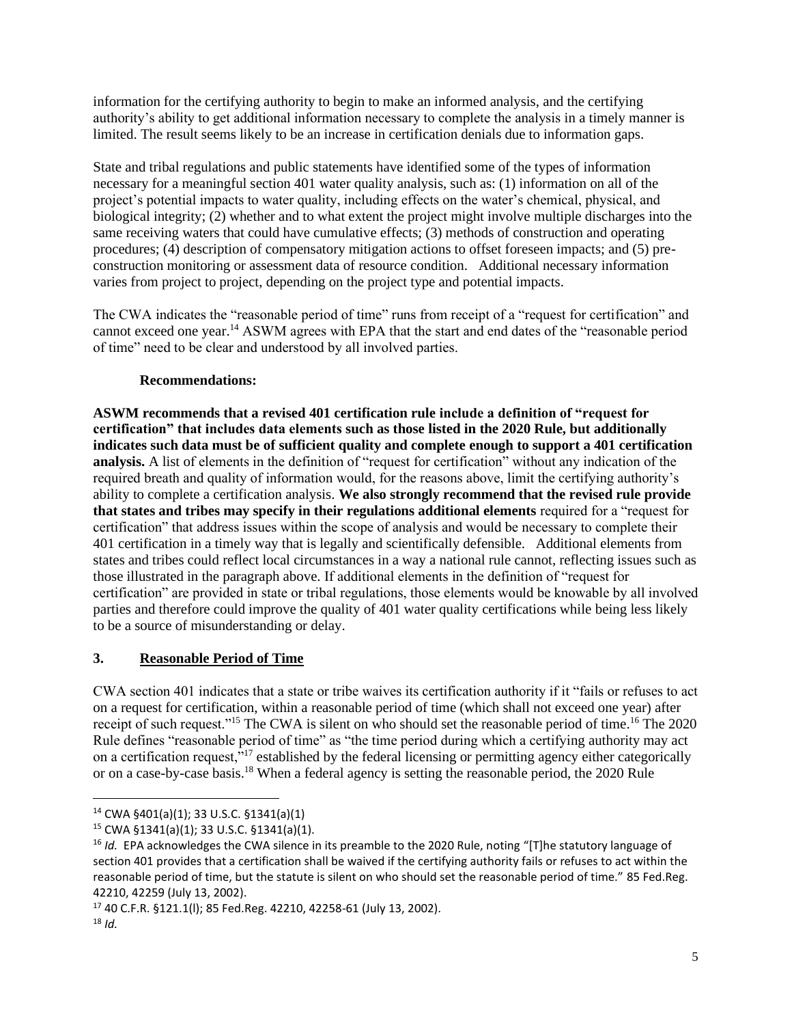information for the certifying authority to begin to make an informed analysis, and the certifying authority's ability to get additional information necessary to complete the analysis in a timely manner is limited. The result seems likely to be an increase in certification denials due to information gaps.

State and tribal regulations and public statements have identified some of the types of information necessary for a meaningful section 401 water quality analysis, such as: (1) information on all of the project's potential impacts to water quality, including effects on the water's chemical, physical, and biological integrity; (2) whether and to what extent the project might involve multiple discharges into the same receiving waters that could have cumulative effects; (3) methods of construction and operating procedures; (4) description of compensatory mitigation actions to offset foreseen impacts; and (5) preconstruction monitoring or assessment data of resource condition. Additional necessary information varies from project to project, depending on the project type and potential impacts.

The CWA indicates the "reasonable period of time" runs from receipt of a "request for certification" and cannot exceed one year.<sup>14</sup> ASWM agrees with EPA that the start and end dates of the "reasonable period of time" need to be clear and understood by all involved parties.

# **Recommendations:**

**ASWM recommends that a revised 401 certification rule include a definition of "request for certification" that includes data elements such as those listed in the 2020 Rule, but additionally indicates such data must be of sufficient quality and complete enough to support a 401 certification analysis.** A list of elements in the definition of "request for certification" without any indication of the required breath and quality of information would, for the reasons above, limit the certifying authority's ability to complete a certification analysis. **We also strongly recommend that the revised rule provide that states and tribes may specify in their regulations additional elements** required for a "request for certification" that address issues within the scope of analysis and would be necessary to complete their 401 certification in a timely way that is legally and scientifically defensible. Additional elements from states and tribes could reflect local circumstances in a way a national rule cannot, reflecting issues such as those illustrated in the paragraph above. If additional elements in the definition of "request for certification" are provided in state or tribal regulations, those elements would be knowable by all involved parties and therefore could improve the quality of 401 water quality certifications while being less likely to be a source of misunderstanding or delay.

# **3. Reasonable Period of Time**

CWA section 401 indicates that a state or tribe waives its certification authority if it "fails or refuses to act on a request for certification, within a reasonable period of time (which shall not exceed one year) after receipt of such request."<sup>15</sup> The CWA is silent on who should set the reasonable period of time.<sup>16</sup> The 2020 Rule defines "reasonable period of time" as "the time period during which a certifying authority may act on a certification request,<sup>"17</sup> established by the federal licensing or permitting agency either categorically or on a case-by-case basis.<sup>18</sup> When a federal agency is setting the reasonable period, the 2020 Rule

<sup>14</sup> CWA §401(a)(1); 33 U.S.C. §1341(a)(1)

<sup>15</sup> CWA §1341(a)(1); 33 U.S.C. §1341(a)(1).

<sup>&</sup>lt;sup>16</sup> *Id.* EPA acknowledges the CWA silence in its preamble to the 2020 Rule, noting "[T]he statutory language of section 401 provides that a certification shall be waived if the certifying authority fails or refuses to act within the reasonable period of time, but the statute is silent on who should set the reasonable period of time." 85 Fed.Reg. 42210, 42259 (July 13, 2002).

<sup>17</sup> 40 C.F.R. §121.1(l); 85 Fed.Reg. 42210, 42258-61 (July 13, 2002).

<sup>18</sup> *Id.*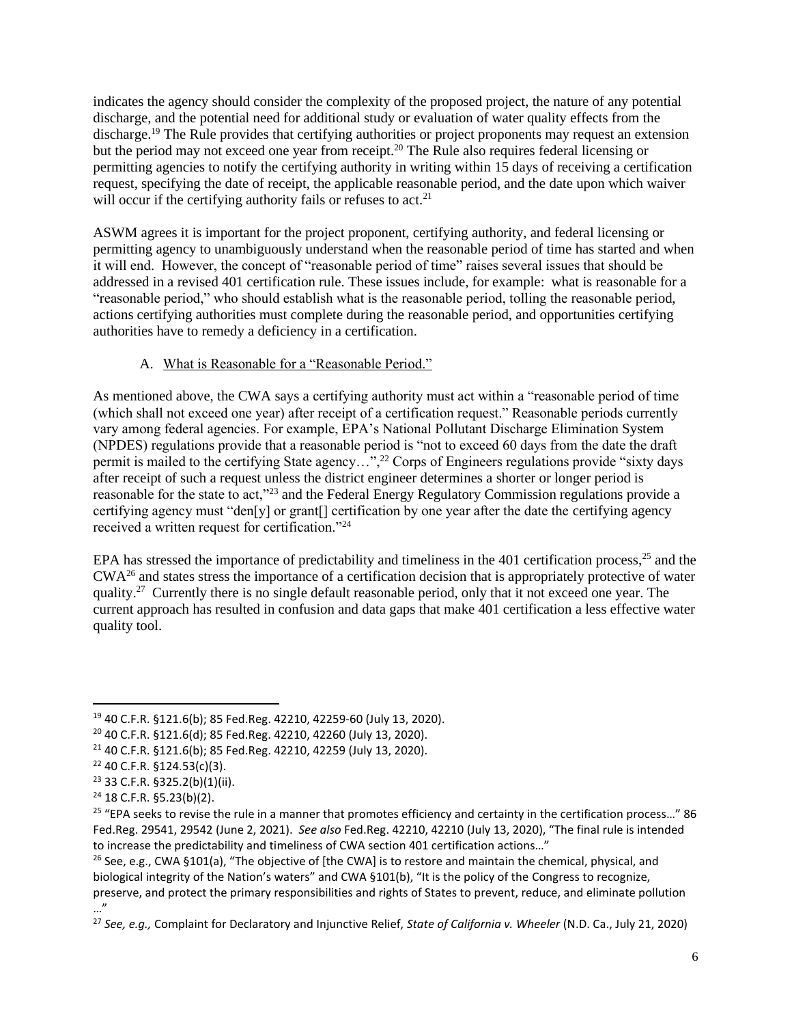indicates the agency should consider the complexity of the proposed project, the nature of any potential discharge, and the potential need for additional study or evaluation of water quality effects from the discharge.<sup>19</sup> The Rule provides that certifying authorities or project proponents may request an extension but the period may not exceed one year from receipt.<sup>20</sup> The Rule also requires federal licensing or permitting agencies to notify the certifying authority in writing within 15 days of receiving a certification request, specifying the date of receipt, the applicable reasonable period, and the date upon which waiver will occur if the certifying authority fails or refuses to act.<sup>21</sup>

ASWM agrees it is important for the project proponent, certifying authority, and federal licensing or permitting agency to unambiguously understand when the reasonable period of time has started and when it will end. However, the concept of "reasonable period of time" raises several issues that should be addressed in a revised 401 certification rule. These issues include, for example: what is reasonable for a "reasonable period," who should establish what is the reasonable period, tolling the reasonable period, actions certifying authorities must complete during the reasonable period, and opportunities certifying authorities have to remedy a deficiency in a certification.

# A. What is Reasonable for a "Reasonable Period."

As mentioned above, the CWA says a certifying authority must act within a "reasonable period of time (which shall not exceed one year) after receipt of a certification request." Reasonable periods currently vary among federal agencies. For example, EPA's National Pollutant Discharge Elimination System (NPDES) regulations provide that a reasonable period is "not to exceed 60 days from the date the draft permit is mailed to the certifying State agency…",<sup>22</sup> Corps of Engineers regulations provide "sixty days" after receipt of such a request unless the district engineer determines a shorter or longer period is reasonable for the state to act,"<sup>23</sup> and the Federal Energy Regulatory Commission regulations provide a certifying agency must "den[y] or grant[] certification by one year after the date the certifying agency received a written request for certification."<sup>24</sup>

EPA has stressed the importance of predictability and timeliness in the 401 certification process, $25$  and the CWA<sup>26</sup> and states stress the importance of a certification decision that is appropriately protective of water quality.<sup>27</sup> Currently there is no single default reasonable period, only that it not exceed one year. The current approach has resulted in confusion and data gaps that make 401 certification a less effective water quality tool.

<sup>19</sup> 40 C.F.R. §121.6(b); 85 Fed.Reg. 42210, 42259-60 (July 13, 2020).

<sup>20</sup> 40 C.F.R. §121.6(d); 85 Fed.Reg. 42210, 42260 (July 13, 2020).

<sup>21</sup> 40 C.F.R. §121.6(b); 85 Fed.Reg. 42210, 42259 (July 13, 2020).

<sup>22</sup> 40 C.F.R. §124.53(c)(3).

<sup>23</sup> 33 C.F.R. §325.2(b)(1)(ii).

 $24$  18 C.F.R. §5.23(b)(2).

 $25$  "EPA seeks to revise the rule in a manner that promotes efficiency and certainty in the certification process..." 86 Fed.Reg. 29541, 29542 (June 2, 2021). *See also* Fed.Reg. 42210, 42210 (July 13, 2020), "The final rule is intended to increase the predictability and timeliness of CWA section 401 certification actions…"

<sup>&</sup>lt;sup>26</sup> See, e.g., CWA §101(a), "The objective of [the CWA] is to restore and maintain the chemical, physical, and biological integrity of the Nation's waters" and CWA §101(b), "It is the policy of the Congress to recognize, preserve, and protect the primary responsibilities and rights of States to prevent, reduce, and eliminate pollution …"

<sup>27</sup> *See, e.g.,* Complaint for Declaratory and Injunctive Relief, *State of California v. Wheeler* (N.D. Ca., July 21, 2020)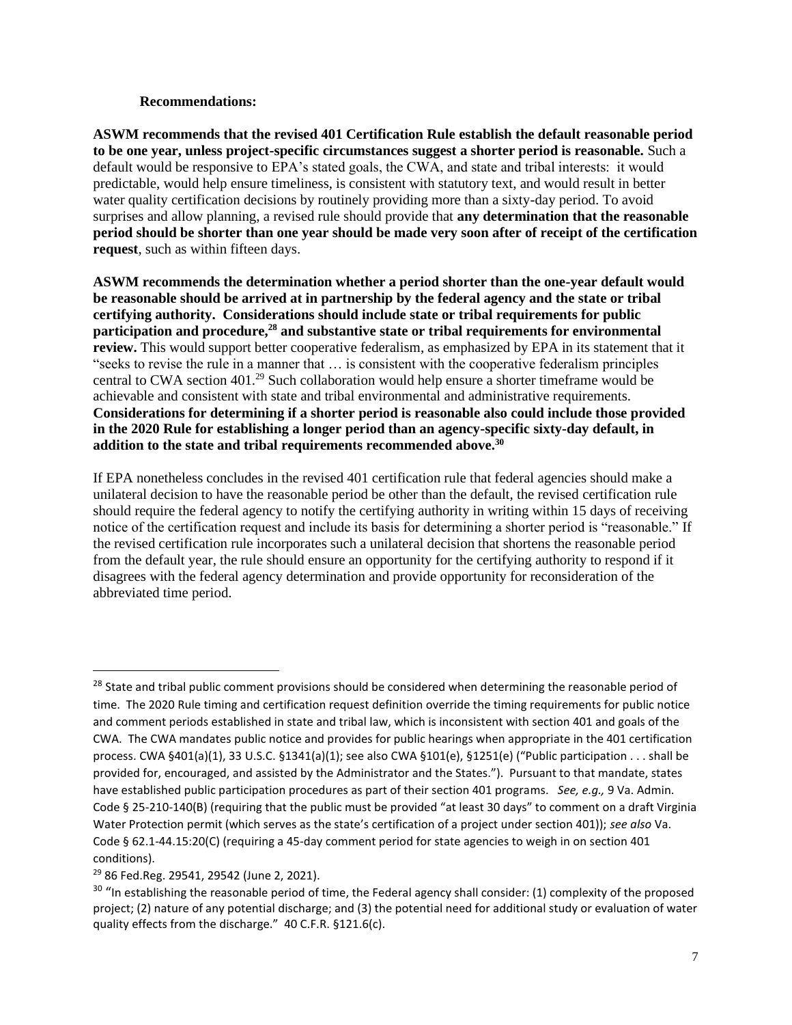#### **Recommendations:**

**ASWM recommends that the revised 401 Certification Rule establish the default reasonable period to be one year, unless project-specific circumstances suggest a shorter period is reasonable.** Such a default would be responsive to EPA's stated goals, the CWA, and state and tribal interests: it would predictable, would help ensure timeliness, is consistent with statutory text, and would result in better water quality certification decisions by routinely providing more than a sixty-day period. To avoid surprises and allow planning, a revised rule should provide that **any determination that the reasonable period should be shorter than one year should be made very soon after of receipt of the certification request**, such as within fifteen days.

**ASWM recommends the determination whether a period shorter than the one-year default would be reasonable should be arrived at in partnership by the federal agency and the state or tribal certifying authority. Considerations should include state or tribal requirements for public participation and procedure,<sup>28</sup> and substantive state or tribal requirements for environmental review.** This would support better cooperative federalism, as emphasized by EPA in its statement that it "seeks to revise the rule in a manner that … is consistent with the cooperative federalism principles central to CWA section 401.<sup>29</sup> Such collaboration would help ensure a shorter timeframe would be achievable and consistent with state and tribal environmental and administrative requirements. **Considerations for determining if a shorter period is reasonable also could include those provided in the 2020 Rule for establishing a longer period than an agency-specific sixty-day default, in addition to the state and tribal requirements recommended above.<sup>30</sup>** 

If EPA nonetheless concludes in the revised 401 certification rule that federal agencies should make a unilateral decision to have the reasonable period be other than the default, the revised certification rule should require the federal agency to notify the certifying authority in writing within 15 days of receiving notice of the certification request and include its basis for determining a shorter period is "reasonable." If the revised certification rule incorporates such a unilateral decision that shortens the reasonable period from the default year, the rule should ensure an opportunity for the certifying authority to respond if it disagrees with the federal agency determination and provide opportunity for reconsideration of the abbreviated time period.

<sup>&</sup>lt;sup>28</sup> State and tribal public comment provisions should be considered when determining the reasonable period of time. The 2020 Rule timing and certification request definition override the timing requirements for public notice and comment periods established in state and tribal law, which is inconsistent with section 401 and goals of the CWA. The CWA mandates public notice and provides for public hearings when appropriate in the 401 certification process. CWA §401(a)(1), 33 U.S.C. §1341(a)(1); see also CWA §101(e), §1251(e) ("Public participation . . . shall be provided for, encouraged, and assisted by the Administrator and the States."). Pursuant to that mandate, states have established public participation procedures as part of their section 401 programs. *See, e.g.,* 9 Va. Admin. Code § 25-210-140(B) (requiring that the public must be provided "at least 30 days" to comment on a draft Virginia Water Protection permit (which serves as the state's certification of a project under section 401)); *see also* Va. Code § 62.1-44.15:20(C) (requiring a 45-day comment period for state agencies to weigh in on section 401 conditions).

<sup>29</sup> 86 Fed.Reg. 29541, 29542 (June 2, 2021).

<sup>&</sup>lt;sup>30</sup> "In establishing the reasonable period of time, the Federal agency shall consider: (1) complexity of the proposed project; (2) nature of any potential discharge; and (3) the potential need for additional study or evaluation of water quality effects from the discharge." 40 C.F.R. §121.6(c).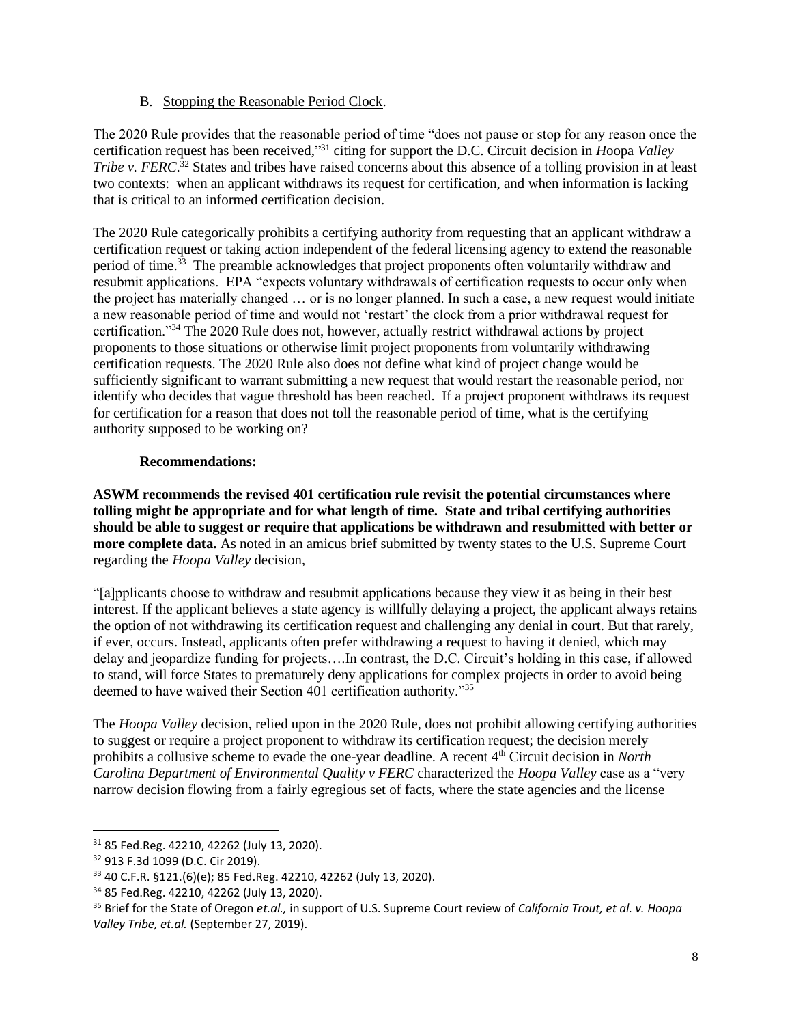## B. Stopping the Reasonable Period Clock.

The 2020 Rule provides that the reasonable period of time "does not pause or stop for any reason once the certification request has been received," <sup>31</sup> citing for support the D.C. Circuit decision in *H*oopa *Valley Tribe v. FERC*. <sup>32</sup> States and tribes have raised concerns about this absence of a tolling provision in at least two contexts: when an applicant withdraws its request for certification, and when information is lacking that is critical to an informed certification decision.

The 2020 Rule categorically prohibits a certifying authority from requesting that an applicant withdraw a certification request or taking action independent of the federal licensing agency to extend the reasonable period of time.<sup>33</sup> The preamble acknowledges that project proponents often voluntarily withdraw and resubmit applications. EPA "expects voluntary withdrawals of certification requests to occur only when the project has materially changed … or is no longer planned. In such a case, a new request would initiate a new reasonable period of time and would not 'restart' the clock from a prior withdrawal request for certification."<sup>34</sup> The 2020 Rule does not, however, actually restrict withdrawal actions by project proponents to those situations or otherwise limit project proponents from voluntarily withdrawing certification requests. The 2020 Rule also does not define what kind of project change would be sufficiently significant to warrant submitting a new request that would restart the reasonable period, nor identify who decides that vague threshold has been reached. If a project proponent withdraws its request for certification for a reason that does not toll the reasonable period of time, what is the certifying authority supposed to be working on?

### **Recommendations:**

**ASWM recommends the revised 401 certification rule revisit the potential circumstances where tolling might be appropriate and for what length of time. State and tribal certifying authorities should be able to suggest or require that applications be withdrawn and resubmitted with better or more complete data.** As noted in an amicus brief submitted by twenty states to the U.S. Supreme Court regarding the *Hoopa Valley* decision,

"[a]pplicants choose to withdraw and resubmit applications because they view it as being in their best interest. If the applicant believes a state agency is willfully delaying a project, the applicant always retains the option of not withdrawing its certification request and challenging any denial in court. But that rarely, if ever, occurs. Instead, applicants often prefer withdrawing a request to having it denied, which may delay and jeopardize funding for projects….In contrast, the D.C. Circuit's holding in this case, if allowed to stand, will force States to prematurely deny applications for complex projects in order to avoid being deemed to have waived their Section 401 certification authority."<sup>35</sup>

The *Hoopa Valley* decision, relied upon in the 2020 Rule, does not prohibit allowing certifying authorities to suggest or require a project proponent to withdraw its certification request; the decision merely prohibits a collusive scheme to evade the one-year deadline. A recent 4th Circuit decision in *North Carolina Department of Environmental Quality v FERC* characterized the *Hoopa Valley* case as a "very narrow decision flowing from a fairly egregious set of facts, where the state agencies and the license

<sup>31</sup> 85 Fed.Reg. 42210, 42262 (July 13, 2020).

<sup>32</sup> 913 F.3d 1099 (D.C. Cir 2019).

<sup>33</sup> 40 C.F.R. §121.(6)(e); 85 Fed.Reg. 42210, 42262 (July 13, 2020).

<sup>34</sup> 85 Fed.Reg. 42210, 42262 (July 13, 2020).

<sup>35</sup> Brief for the State of Oregon *et.al.,* in support of U.S. Supreme Court review of *California Trout, et al. v. Hoopa Valley Tribe, et.al.* (September 27, 2019).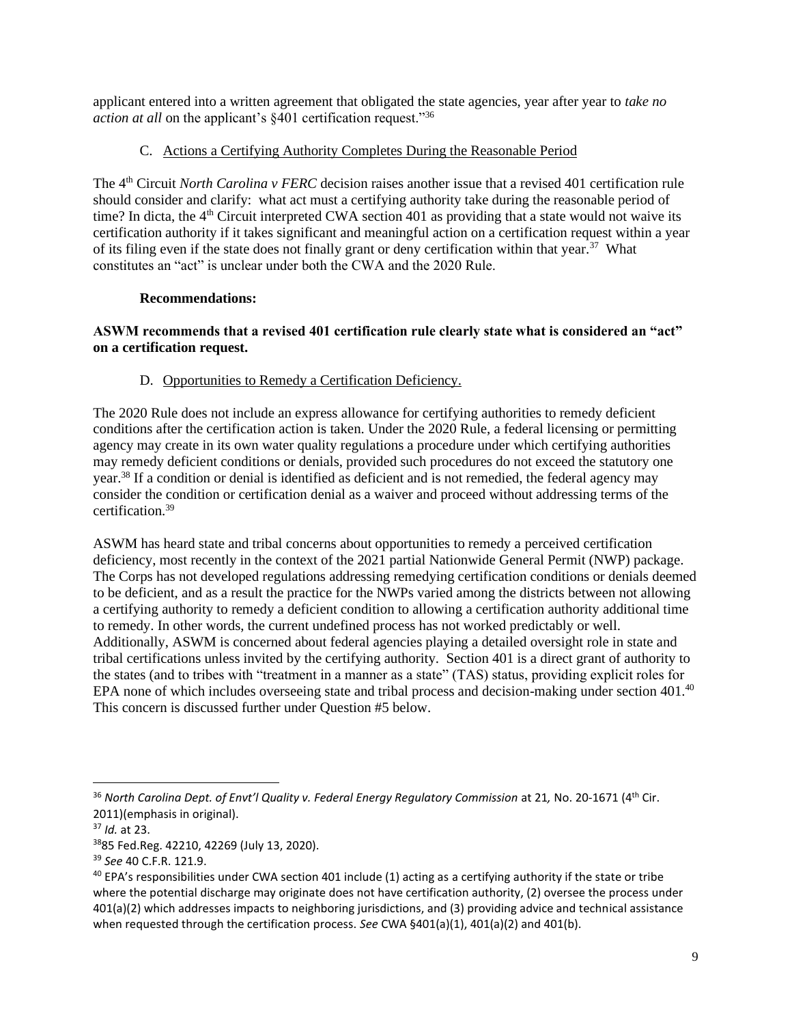applicant entered into a written agreement that obligated the state agencies, year after year to *take no action at all* on the applicant's §401 certification request."<sup>36</sup>

# C. Actions a Certifying Authority Completes During the Reasonable Period

The 4<sup>th</sup> Circuit *North Carolina v FERC* decision raises another issue that a revised 401 certification rule should consider and clarify: what act must a certifying authority take during the reasonable period of time? In dicta, the  $4<sup>th</sup>$  Circuit interpreted CWA section 401 as providing that a state would not waive its certification authority if it takes significant and meaningful action on a certification request within a year of its filing even if the state does not finally grant or deny certification within that year.<sup>37</sup> What constitutes an "act" is unclear under both the CWA and the 2020 Rule.

### **Recommendations:**

## **ASWM recommends that a revised 401 certification rule clearly state what is considered an "act" on a certification request.**

# D. Opportunities to Remedy a Certification Deficiency.

The 2020 Rule does not include an express allowance for certifying authorities to remedy deficient conditions after the certification action is taken. Under the 2020 Rule, a federal licensing or permitting agency may create in its own water quality regulations a procedure under which certifying authorities may remedy deficient conditions or denials, provided such procedures do not exceed the statutory one year.<sup>38</sup> If a condition or denial is identified as deficient and is not remedied, the federal agency may consider the condition or certification denial as a waiver and proceed without addressing terms of the certification.<sup>39</sup>

ASWM has heard state and tribal concerns about opportunities to remedy a perceived certification deficiency, most recently in the context of the 2021 partial Nationwide General Permit (NWP) package. The Corps has not developed regulations addressing remedying certification conditions or denials deemed to be deficient, and as a result the practice for the NWPs varied among the districts between not allowing a certifying authority to remedy a deficient condition to allowing a certification authority additional time to remedy. In other words, the current undefined process has not worked predictably or well. Additionally, ASWM is concerned about federal agencies playing a detailed oversight role in state and tribal certifications unless invited by the certifying authority. Section 401 is a direct grant of authority to the states (and to tribes with "treatment in a manner as a state" (TAS) status, providing explicit roles for EPA none of which includes overseeing state and tribal process and decision-making under section 401.<sup>40</sup> This concern is discussed further under Question #5 below.

<sup>&</sup>lt;sup>36</sup> North Carolina Dept. of Envt'l Quality v. Federal Energy Regulatory Commission at 21, No. 20-1671 (4<sup>th</sup> Cir. 2011)(emphasis in original).

<sup>37</sup> *Id.* at 23.

<sup>38</sup>85 Fed.Reg. 42210, 42269 (July 13, 2020).

<sup>39</sup> *See* 40 C.F.R. 121.9.

 $40$  EPA's responsibilities under CWA section 401 include (1) acting as a certifying authority if the state or tribe where the potential discharge may originate does not have certification authority, (2) oversee the process under 401(a)(2) which addresses impacts to neighboring jurisdictions, and (3) providing advice and technical assistance when requested through the certification process. *See* CWA §401(a)(1), 401(a)(2) and 401(b).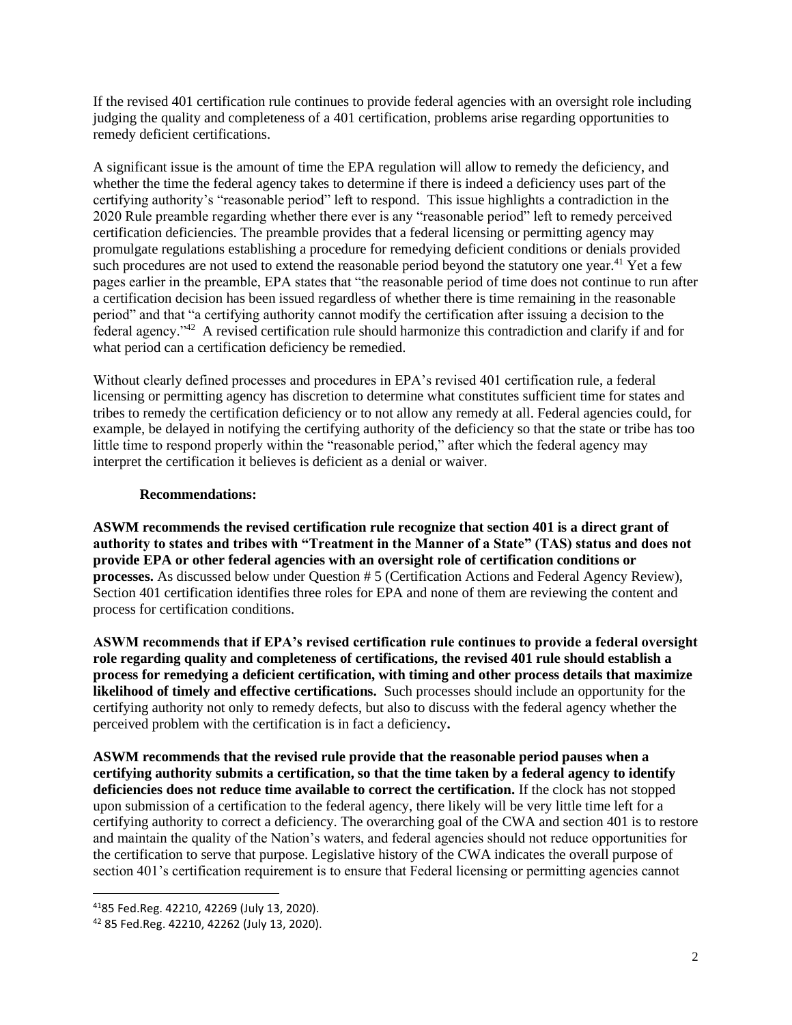If the revised 401 certification rule continues to provide federal agencies with an oversight role including judging the quality and completeness of a 401 certification, problems arise regarding opportunities to remedy deficient certifications.

A significant issue is the amount of time the EPA regulation will allow to remedy the deficiency, and whether the time the federal agency takes to determine if there is indeed a deficiency uses part of the certifying authority's "reasonable period" left to respond. This issue highlights a contradiction in the 2020 Rule preamble regarding whether there ever is any "reasonable period" left to remedy perceived certification deficiencies. The preamble provides that a federal licensing or permitting agency may promulgate regulations establishing a procedure for remedying deficient conditions or denials provided such procedures are not used to extend the reasonable period beyond the statutory one year.<sup>41</sup> Yet a few pages earlier in the preamble, EPA states that "the reasonable period of time does not continue to run after a certification decision has been issued regardless of whether there is time remaining in the reasonable period" and that "a certifying authority cannot modify the certification after issuing a decision to the federal agency."<sup>42</sup> A revised certification rule should harmonize this contradiction and clarify if and for what period can a certification deficiency be remedied.

Without clearly defined processes and procedures in EPA's revised 401 certification rule, a federal licensing or permitting agency has discretion to determine what constitutes sufficient time for states and tribes to remedy the certification deficiency or to not allow any remedy at all. Federal agencies could, for example, be delayed in notifying the certifying authority of the deficiency so that the state or tribe has too little time to respond properly within the "reasonable period," after which the federal agency may interpret the certification it believes is deficient as a denial or waiver.

### **Recommendations:**

**ASWM recommends the revised certification rule recognize that section 401 is a direct grant of authority to states and tribes with "Treatment in the Manner of a State" (TAS) status and does not provide EPA or other federal agencies with an oversight role of certification conditions or processes.** As discussed below under Question # 5 (Certification Actions and Federal Agency Review), Section 401 certification identifies three roles for EPA and none of them are reviewing the content and process for certification conditions.

**ASWM recommends that if EPA's revised certification rule continues to provide a federal oversight role regarding quality and completeness of certifications, the revised 401 rule should establish a process for remedying a deficient certification, with timing and other process details that maximize likelihood of timely and effective certifications.** Such processes should include an opportunity for the certifying authority not only to remedy defects, but also to discuss with the federal agency whether the perceived problem with the certification is in fact a deficiency**.** 

**ASWM recommends that the revised rule provide that the reasonable period pauses when a certifying authority submits a certification, so that the time taken by a federal agency to identify deficiencies does not reduce time available to correct the certification.** If the clock has not stopped upon submission of a certification to the federal agency, there likely will be very little time left for a certifying authority to correct a deficiency. The overarching goal of the CWA and section 401 is to restore and maintain the quality of the Nation's waters, and federal agencies should not reduce opportunities for the certification to serve that purpose. Legislative history of the CWA indicates the overall purpose of section 401's certification requirement is to ensure that Federal licensing or permitting agencies cannot

<sup>41</sup>85 Fed.Reg. 42210, 42269 (July 13, 2020).

<sup>42</sup> 85 Fed.Reg. 42210, 42262 (July 13, 2020).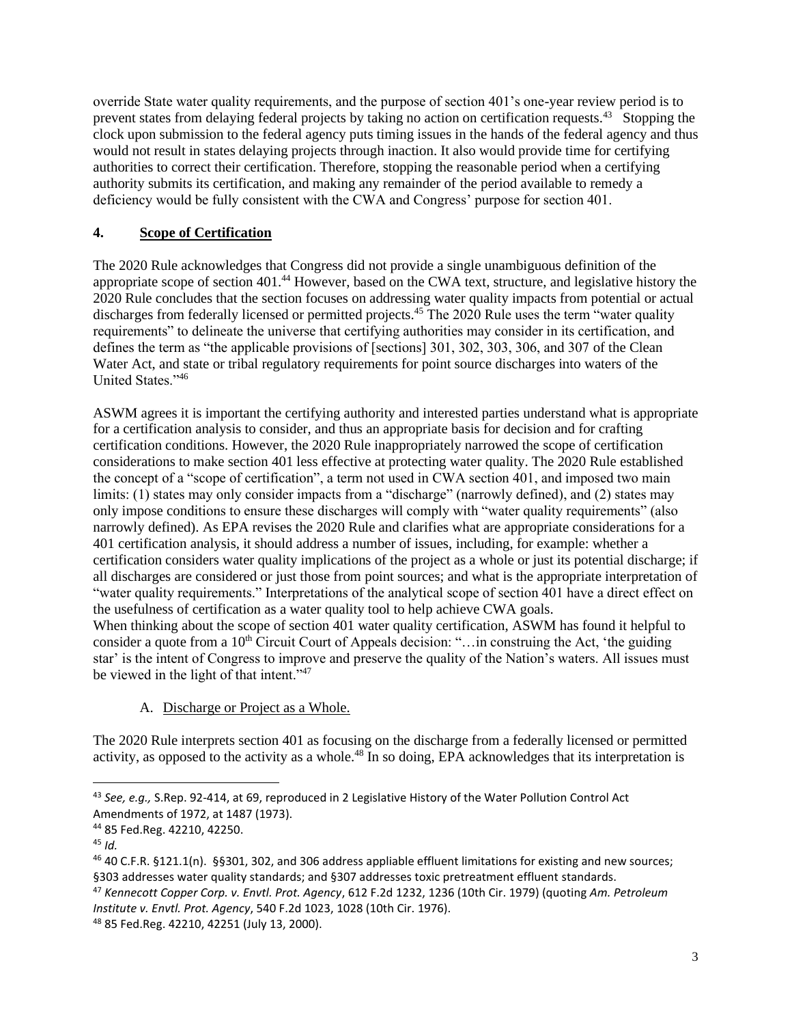override State water quality requirements, and the purpose of section 401's one-year review period is to prevent states from delaying federal projects by taking no action on certification requests.<sup>43</sup> Stopping the clock upon submission to the federal agency puts timing issues in the hands of the federal agency and thus would not result in states delaying projects through inaction. It also would provide time for certifying authorities to correct their certification. Therefore, stopping the reasonable period when a certifying authority submits its certification, and making any remainder of the period available to remedy a deficiency would be fully consistent with the CWA and Congress' purpose for section 401.

# **4. Scope of Certification**

The 2020 Rule acknowledges that Congress did not provide a single unambiguous definition of the appropriate scope of section 401.<sup>44</sup> However, based on the CWA text, structure, and legislative history the 2020 Rule concludes that the section focuses on addressing water quality impacts from potential or actual discharges from federally licensed or permitted projects.<sup>45</sup> The 2020 Rule uses the term "water quality" requirements" to delineate the universe that certifying authorities may consider in its certification, and defines the term as "the applicable provisions of [sections] 301, 302, 303, 306, and 307 of the Clean Water Act, and state or tribal regulatory requirements for point source discharges into waters of the United States."<sup>46</sup>

ASWM agrees it is important the certifying authority and interested parties understand what is appropriate for a certification analysis to consider, and thus an appropriate basis for decision and for crafting certification conditions. However, the 2020 Rule inappropriately narrowed the scope of certification considerations to make section 401 less effective at protecting water quality. The 2020 Rule established the concept of a "scope of certification", a term not used in CWA section 401, and imposed two main limits: (1) states may only consider impacts from a "discharge" (narrowly defined), and (2) states may only impose conditions to ensure these discharges will comply with "water quality requirements" (also narrowly defined). As EPA revises the 2020 Rule and clarifies what are appropriate considerations for a 401 certification analysis, it should address a number of issues, including, for example: whether a certification considers water quality implications of the project as a whole or just its potential discharge; if all discharges are considered or just those from point sources; and what is the appropriate interpretation of "water quality requirements." Interpretations of the analytical scope of section 401 have a direct effect on the usefulness of certification as a water quality tool to help achieve CWA goals. When thinking about the scope of section 401 water quality certification, ASWM has found it helpful to

consider a quote from a 10<sup>th</sup> Circuit Court of Appeals decision: "...in construing the Act, 'the guiding star' is the intent of Congress to improve and preserve the quality of the Nation's waters. All issues must be viewed in the light of that intent."<sup>47</sup>

A. Discharge or Project as a Whole.

The 2020 Rule interprets section 401 as focusing on the discharge from a federally licensed or permitted activity, as opposed to the activity as a whole.<sup>48</sup> In so doing, EPA acknowledges that its interpretation is

<sup>47</sup> *Kennecott Copper Corp. v. Envtl. Prot. Agency*, 612 F.2d 1232, 1236 (10th Cir. 1979) (quoting *Am. Petroleum Institute v. Envtl. Prot. Agency*, 540 F.2d 1023, 1028 (10th Cir. 1976).

<sup>43</sup> *See, e.g.,* S.Rep. 92-414, at 69, reproduced in 2 Legislative History of the Water Pollution Control Act Amendments of 1972, at 1487 (1973).

<sup>44</sup> 85 Fed.Reg. 42210, 42250.

<sup>45</sup> *Id.*

<sup>46</sup> 40 C.F.R. §121.1(n). §§301, 302, and 306 address appliable effluent limitations for existing and new sources; §303 addresses water quality standards; and §307 addresses toxic pretreatment effluent standards.

<sup>48</sup> 85 Fed.Reg. 42210, 42251 (July 13, 2000).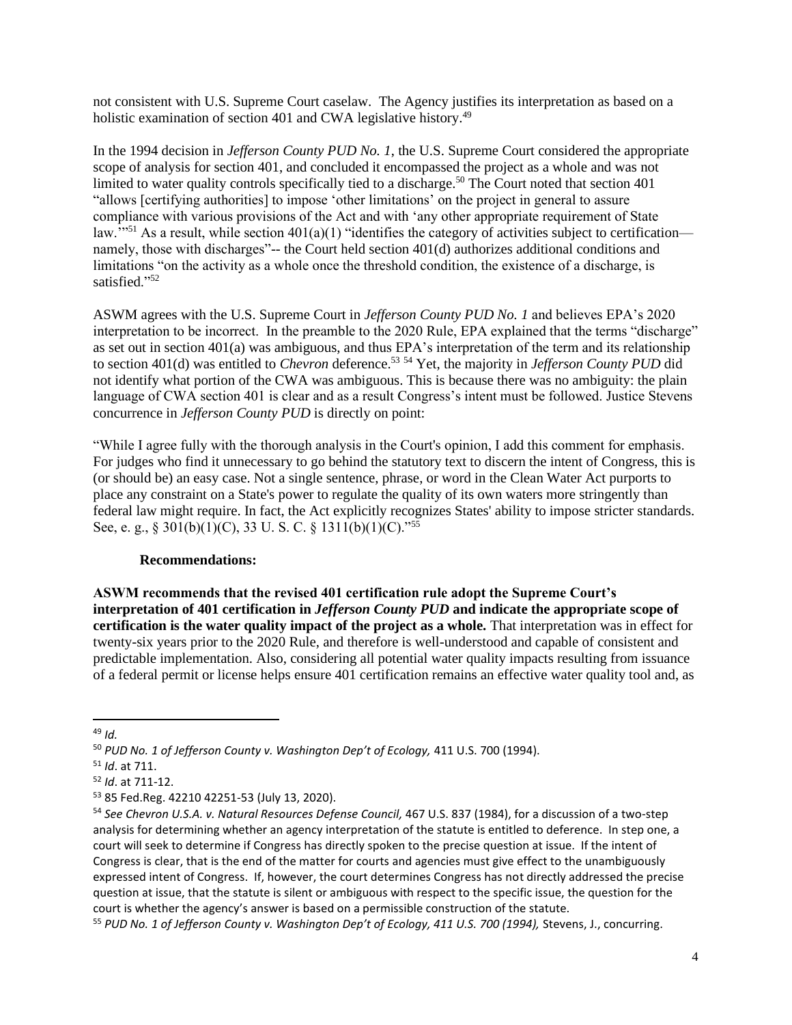not consistent with U.S. Supreme Court caselaw. The Agency justifies its interpretation as based on a holistic examination of section 401 and CWA legislative history.<sup>49</sup>

In the 1994 decision in *Jefferson County PUD No. 1*, the U.S. Supreme Court considered the appropriate scope of analysis for section 401, and concluded it encompassed the project as a whole and was not limited to water quality controls specifically tied to a discharge.<sup>50</sup> The Court noted that section  $401$ "allows [certifying authorities] to impose 'other limitations' on the project in general to assure compliance with various provisions of the Act and with 'any other appropriate requirement of State law."<sup>51</sup> As a result, while section  $401(a)(1)$  "identifies the category of activities subject to certification namely, those with discharges"-- the Court held section 401(d) authorizes additional conditions and limitations "on the activity as a whole once the threshold condition, the existence of a discharge, is satisfied."<sup>52</sup>

ASWM agrees with the U.S. Supreme Court in *Jefferson County PUD No. 1* and believes EPA's 2020 interpretation to be incorrect. In the preamble to the 2020 Rule, EPA explained that the terms "discharge" as set out in section  $401(a)$  was ambiguous, and thus EPA's interpretation of the term and its relationship to section 401(d) was entitled to *Chevron* deference.<sup>53</sup> <sup>54</sup> Yet, the majority in *Jefferson County PUD* did not identify what portion of the CWA was ambiguous. This is because there was no ambiguity: the plain language of CWA section 401 is clear and as a result Congress's intent must be followed. Justice Stevens concurrence in *Jefferson County PUD* is directly on point:

"While I agree fully with the thorough analysis in the Court's opinion, I add this comment for emphasis. For judges who find it unnecessary to go behind the statutory text to discern the intent of Congress, this is (or should be) an easy case. Not a single sentence, phrase, or word in the Clean Water Act purports to place any constraint on a State's power to regulate the quality of its own waters more stringently than federal law might require. In fact, the Act explicitly recognizes States' ability to impose stricter standards. See, e. g., § 301(b)(1)(C), 33 U. S. C. § 1311(b)(1)(C)."<sup>55</sup>

#### **Recommendations:**

**ASWM recommends that the revised 401 certification rule adopt the Supreme Court's interpretation of 401 certification in** *Jefferson County PUD* **and indicate the appropriate scope of certification is the water quality impact of the project as a whole.** That interpretation was in effect for twenty-six years prior to the 2020 Rule, and therefore is well-understood and capable of consistent and predictable implementation. Also, considering all potential water quality impacts resulting from issuance of a federal permit or license helps ensure 401 certification remains an effective water quality tool and, as

<sup>49</sup> *Id.*

<sup>50</sup> *PUD No. 1 of Jefferson County v. Washington Dep't of Ecology,* 411 U.S. 700 (1994).

<sup>51</sup> *Id*. at 711.

<sup>52</sup> *Id*. at 711-12.

<sup>53</sup> 85 Fed.Reg. 42210 42251-53 (July 13, 2020).

<sup>54</sup> *See Chevron U.S.A. v. Natural Resources Defense Council,* 467 U.S. 837 (1984), for a discussion of a two-step analysis for determining whether an agency interpretation of the statute is entitled to deference. In step one, a court will seek to determine if Congress has directly spoken to the precise question at issue. If the intent of Congress is clear, that is the end of the matter for courts and agencies must give effect to the unambiguously expressed intent of Congress. If, however, the court determines Congress has not directly addressed the precise question at issue, that the statute is silent or ambiguous with respect to the specific issue, the question for the court is whether the agency's answer is based on a permissible construction of the statute.

<sup>55</sup> *PUD No. 1 of Jefferson County v. Washington Dep't of Ecology, 411 U.S. 700 (1994),* Stevens, J., concurring.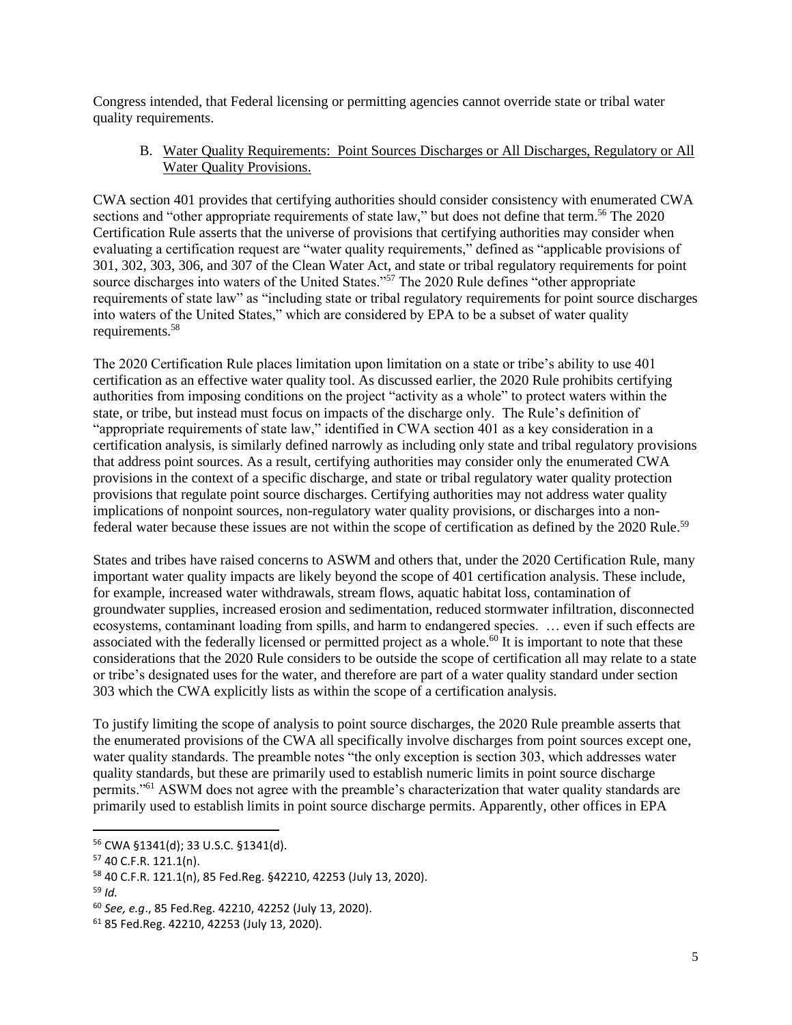Congress intended, that Federal licensing or permitting agencies cannot override state or tribal water quality requirements.

### B. Water Quality Requirements: Point Sources Discharges or All Discharges, Regulatory or All Water Quality Provisions.

CWA section 401 provides that certifying authorities should consider consistency with enumerated CWA sections and "other appropriate requirements of state law," but does not define that term.<sup>56</sup> The 2020 Certification Rule asserts that the universe of provisions that certifying authorities may consider when evaluating a certification request are "water quality requirements," defined as "applicable provisions of 301, 302, 303, 306, and 307 of the Clean Water Act, and state or tribal regulatory requirements for point source discharges into waters of the United States."<sup>57</sup> The 2020 Rule defines "other appropriate requirements of state law" as "including state or tribal regulatory requirements for point source discharges into waters of the United States," which are considered by EPA to be a subset of water quality requirements.<sup>58</sup>

The 2020 Certification Rule places limitation upon limitation on a state or tribe's ability to use 401 certification as an effective water quality tool. As discussed earlier, the 2020 Rule prohibits certifying authorities from imposing conditions on the project "activity as a whole" to protect waters within the state, or tribe, but instead must focus on impacts of the discharge only. The Rule's definition of "appropriate requirements of state law," identified in CWA section 401 as a key consideration in a certification analysis, is similarly defined narrowly as including only state and tribal regulatory provisions that address point sources. As a result, certifying authorities may consider only the enumerated CWA provisions in the context of a specific discharge, and state or tribal regulatory water quality protection provisions that regulate point source discharges. Certifying authorities may not address water quality implications of nonpoint sources, non-regulatory water quality provisions, or discharges into a nonfederal water because these issues are not within the scope of certification as defined by the 2020 Rule.<sup>59</sup>

States and tribes have raised concerns to ASWM and others that, under the 2020 Certification Rule, many important water quality impacts are likely beyond the scope of 401 certification analysis. These include, for example, increased water withdrawals, stream flows, aquatic habitat loss, contamination of groundwater supplies, increased erosion and sedimentation, reduced stormwater infiltration, disconnected ecosystems, contaminant loading from spills, and harm to endangered species. … even if such effects are associated with the federally licensed or permitted project as a whole.<sup>60</sup> It is important to note that these considerations that the 2020 Rule considers to be outside the scope of certification all may relate to a state or tribe's designated uses for the water, and therefore are part of a water quality standard under section 303 which the CWA explicitly lists as within the scope of a certification analysis.

To justify limiting the scope of analysis to point source discharges, the 2020 Rule preamble asserts that the enumerated provisions of the CWA all specifically involve discharges from point sources except one, water quality standards. The preamble notes "the only exception is section 303, which addresses water quality standards, but these are primarily used to establish numeric limits in point source discharge permits."<sup>61</sup> ASWM does not agree with the preamble's characterization that water quality standards are primarily used to establish limits in point source discharge permits. Apparently, other offices in EPA

<sup>56</sup> CWA §1341(d); 33 U.S.C. §1341(d).

<sup>57</sup> 40 C.F.R. 121.1(n).

<sup>58</sup> 40 C.F.R. 121.1(n), 85 Fed.Reg. §42210, 42253 (July 13, 2020).

<sup>59</sup> *Id.*

<sup>60</sup> *See, e.g*., 85 Fed.Reg. 42210, 42252 (July 13, 2020).

<sup>61</sup> 85 Fed.Reg. 42210, 42253 (July 13, 2020).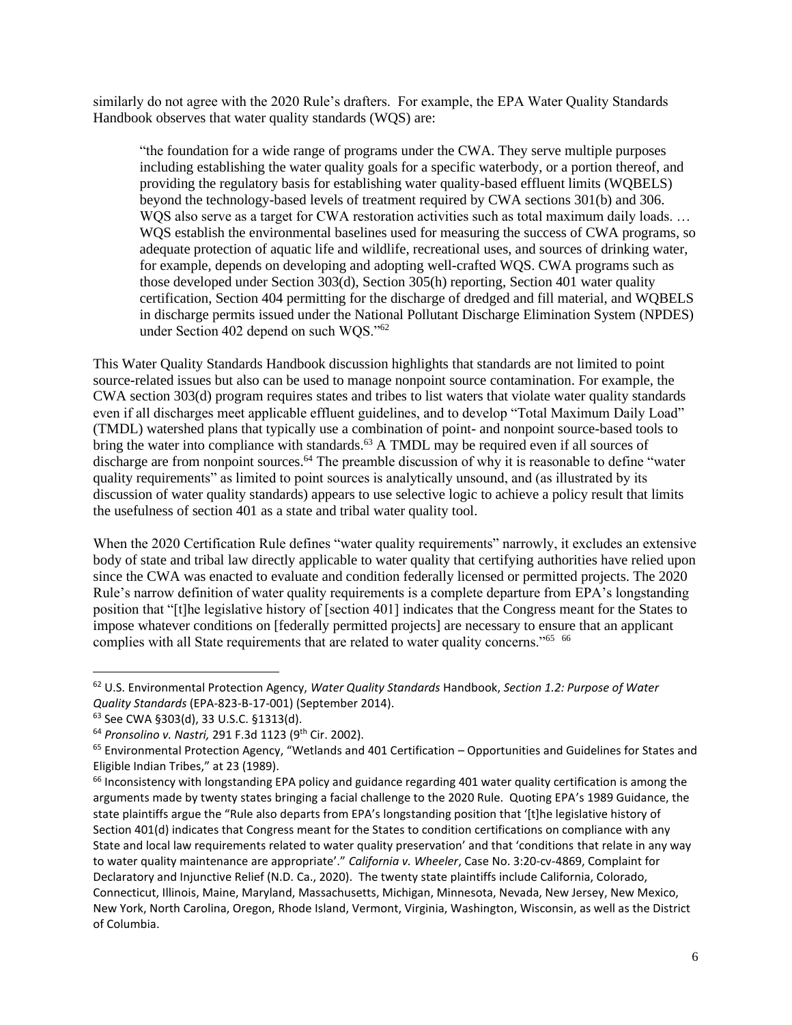similarly do not agree with the 2020 Rule's drafters. For example, the EPA Water Quality Standards Handbook observes that water quality standards (WQS) are:

"the foundation for a wide range of programs under the CWA. They serve multiple purposes including establishing the water quality goals for a specific waterbody, or a portion thereof, and providing the regulatory basis for establishing water quality-based effluent limits (WQBELS) beyond the technology-based levels of treatment required by CWA sections 301(b) and 306. WQS also serve as a target for CWA restoration activities such as total maximum daily loads. ... WQS establish the environmental baselines used for measuring the success of CWA programs, so adequate protection of aquatic life and wildlife, recreational uses, and sources of drinking water, for example, depends on developing and adopting well-crafted WQS. CWA programs such as those developed under Section 303(d), Section 305(h) reporting, Section 401 water quality certification, Section 404 permitting for the discharge of dredged and fill material, and WQBELS in discharge permits issued under the National Pollutant Discharge Elimination System (NPDES) under Section 402 depend on such WOS."<sup>62</sup>

This Water Quality Standards Handbook discussion highlights that standards are not limited to point source-related issues but also can be used to manage nonpoint source contamination. For example, the CWA section 303(d) program requires states and tribes to list waters that violate water quality standards even if all discharges meet applicable effluent guidelines, and to develop "Total Maximum Daily Load" (TMDL) watershed plans that typically use a combination of point- and nonpoint source-based tools to bring the water into compliance with standards.<sup>63</sup> A TMDL may be required even if all sources of discharge are from nonpoint sources.<sup>64</sup> The preamble discussion of why it is reasonable to define "water" quality requirements" as limited to point sources is analytically unsound, and (as illustrated by its discussion of water quality standards) appears to use selective logic to achieve a policy result that limits the usefulness of section 401 as a state and tribal water quality tool.

When the 2020 Certification Rule defines "water quality requirements" narrowly, it excludes an extensive body of state and tribal law directly applicable to water quality that certifying authorities have relied upon since the CWA was enacted to evaluate and condition federally licensed or permitted projects. The 2020 Rule's narrow definition of water quality requirements is a complete departure from EPA's longstanding position that "[t]he legislative history of [section 401] indicates that the Congress meant for the States to impose whatever conditions on [federally permitted projects] are necessary to ensure that an applicant complies with all State requirements that are related to water quality concerns."<sup>65</sup> <sup>66</sup>

<sup>62</sup> U.S. Environmental Protection Agency, *Water Quality Standards* Handbook, *Section 1.2: Purpose of Water Quality Standards* (EPA-823-B-17-001) (September 2014).

<sup>63</sup> See CWA §303(d), 33 U.S.C. §1313(d).

<sup>64</sup> *Pronsolino v. Nastri,* 291 F.3d 1123 (9th Cir. 2002).

 $65$  Environmental Protection Agency, "Wetlands and 401 Certification – Opportunities and Guidelines for States and Eligible Indian Tribes," at 23 (1989).

 $66$  Inconsistency with longstanding EPA policy and guidance regarding 401 water quality certification is among the arguments made by twenty states bringing a facial challenge to the 2020 Rule. Quoting EPA's 1989 Guidance, the state plaintiffs argue the "Rule also departs from EPA's longstanding position that '[t]he legislative history of Section 401(d) indicates that Congress meant for the States to condition certifications on compliance with any State and local law requirements related to water quality preservation' and that 'conditions that relate in any way to water quality maintenance are appropriate'." *California v. Wheeler*, Case No. 3:20-cv-4869, Complaint for Declaratory and Injunctive Relief (N.D. Ca., 2020). The twenty state plaintiffs include California, Colorado, Connecticut, Illinois, Maine, Maryland, Massachusetts, Michigan, Minnesota, Nevada, New Jersey, New Mexico, New York, North Carolina, Oregon, Rhode Island, Vermont, Virginia, Washington, Wisconsin, as well as the District of Columbia.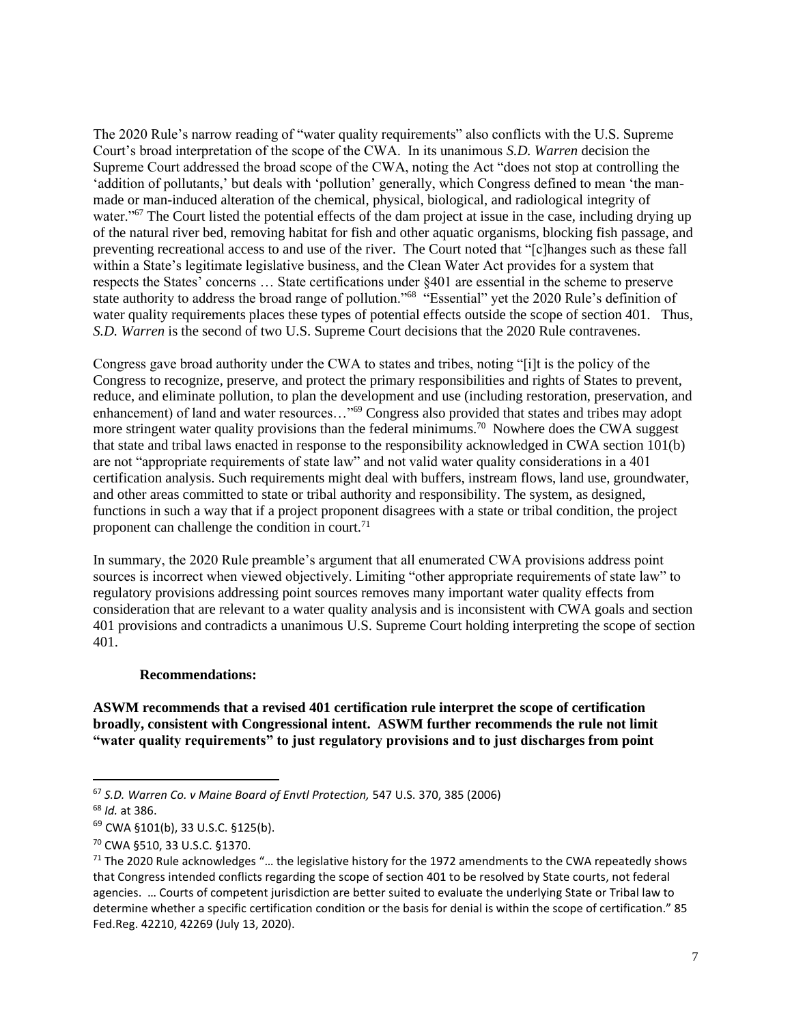The 2020 Rule's narrow reading of "water quality requirements" also conflicts with the U.S. Supreme Court's broad interpretation of the scope of the CWA. In its unanimous *S.D. Warren* decision the Supreme Court addressed the broad scope of the CWA, noting the Act "does not stop at controlling the 'addition of pollutants,' but deals with 'pollution' generally, which Congress defined to mean 'the manmade or man-induced alteration of the chemical, physical, biological, and radiological integrity of water."<sup>67</sup> The Court listed the potential effects of the dam project at issue in the case, including drying up of the natural river bed, removing habitat for fish and other aquatic organisms, blocking fish passage, and preventing recreational access to and use of the river. The Court noted that "[c]hanges such as these fall within a State's legitimate legislative business, and the Clean Water Act provides for a system that respects the States' concerns … State certifications under §401 are essential in the scheme to preserve state authority to address the broad range of pollution."<sup>68</sup> "Essential" yet the 2020 Rule's definition of water quality requirements places these types of potential effects outside the scope of section 401. Thus, *S.D. Warren* is the second of two U.S. Supreme Court decisions that the 2020 Rule contravenes.

Congress gave broad authority under the CWA to states and tribes, noting "[i]t is the policy of the Congress to recognize, preserve, and protect the primary responsibilities and rights of States to prevent, reduce, and eliminate pollution, to plan the development and use (including restoration, preservation, and enhancement) of land and water resources…"<sup>69</sup> Congress also provided that states and tribes may adopt more stringent water quality provisions than the federal minimums.<sup>70</sup> Nowhere does the CWA suggest that state and tribal laws enacted in response to the responsibility acknowledged in CWA section 101(b) are not "appropriate requirements of state law" and not valid water quality considerations in a 401 certification analysis. Such requirements might deal with buffers, instream flows, land use, groundwater, and other areas committed to state or tribal authority and responsibility. The system, as designed, functions in such a way that if a project proponent disagrees with a state or tribal condition, the project proponent can challenge the condition in court.<sup>71</sup>

In summary, the 2020 Rule preamble's argument that all enumerated CWA provisions address point sources is incorrect when viewed objectively. Limiting "other appropriate requirements of state law" to regulatory provisions addressing point sources removes many important water quality effects from consideration that are relevant to a water quality analysis and is inconsistent with CWA goals and section 401 provisions and contradicts a unanimous U.S. Supreme Court holding interpreting the scope of section 401.

#### **Recommendations:**

#### **ASWM recommends that a revised 401 certification rule interpret the scope of certification broadly, consistent with Congressional intent. ASWM further recommends the rule not limit "water quality requirements" to just regulatory provisions and to just discharges from point**

<sup>67</sup> *S.D. Warren Co. v Maine Board of Envtl Protection,* 547 U.S. 370, 385 (2006)

<sup>68</sup> *Id.* at 386.

<sup>69</sup> CWA §101(b), 33 U.S.C. §125(b).

<sup>70</sup> CWA §510, 33 U.S.C. §1370.

<sup>&</sup>lt;sup>71</sup> The 2020 Rule acknowledges "... the legislative history for the 1972 amendments to the CWA repeatedly shows that Congress intended conflicts regarding the scope of section 401 to be resolved by State courts, not federal agencies. … Courts of competent jurisdiction are better suited to evaluate the underlying State or Tribal law to determine whether a specific certification condition or the basis for denial is within the scope of certification." 85 Fed.Reg. 42210, 42269 (July 13, 2020).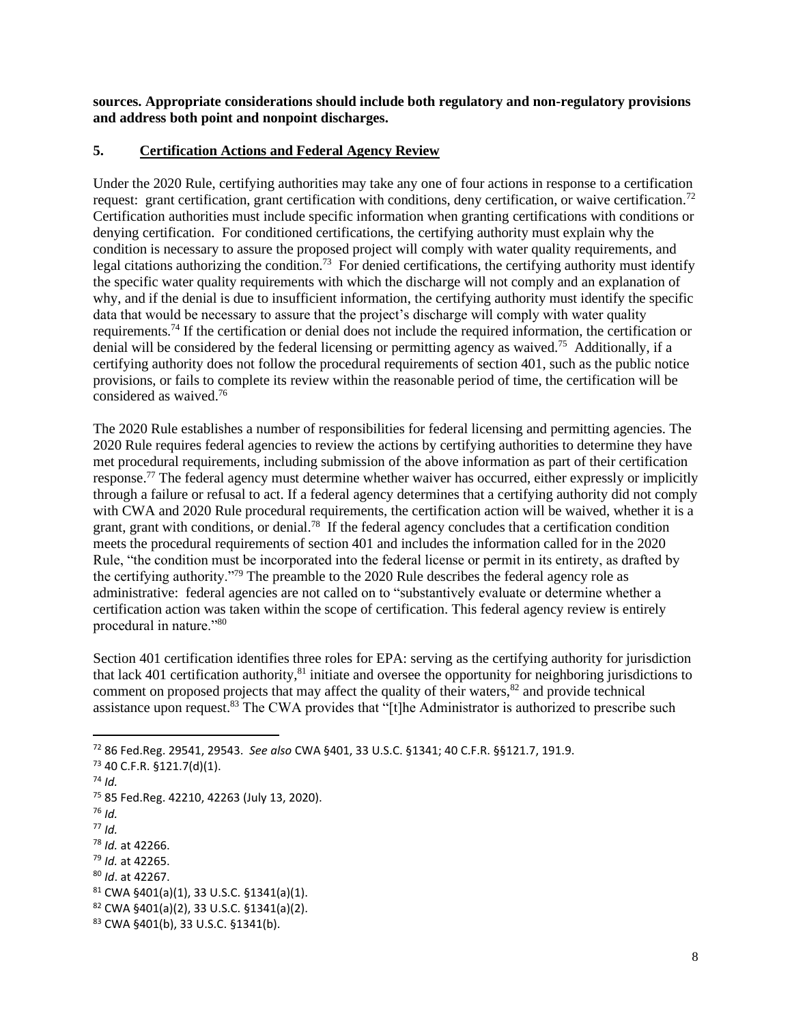**sources. Appropriate considerations should include both regulatory and non-regulatory provisions and address both point and nonpoint discharges.** 

#### **5. Certification Actions and Federal Agency Review**

Under the 2020 Rule, certifying authorities may take any one of four actions in response to a certification request: grant certification, grant certification with conditions, deny certification, or waive certification.<sup>72</sup> Certification authorities must include specific information when granting certifications with conditions or denying certification. For conditioned certifications, the certifying authority must explain why the condition is necessary to assure the proposed project will comply with water quality requirements, and legal citations authorizing the condition.<sup>73</sup> For denied certifications, the certifying authority must identify the specific water quality requirements with which the discharge will not comply and an explanation of why, and if the denial is due to insufficient information, the certifying authority must identify the specific data that would be necessary to assure that the project's discharge will comply with water quality requirements.<sup>74</sup> If the certification or denial does not include the required information, the certification or denial will be considered by the federal licensing or permitting agency as waived.<sup>75</sup> Additionally, if a certifying authority does not follow the procedural requirements of section 401, such as the public notice provisions, or fails to complete its review within the reasonable period of time, the certification will be considered as waived.<sup>76</sup>

The 2020 Rule establishes a number of responsibilities for federal licensing and permitting agencies. The 2020 Rule requires federal agencies to review the actions by certifying authorities to determine they have met procedural requirements, including submission of the above information as part of their certification response.<sup>77</sup> The federal agency must determine whether waiver has occurred, either expressly or implicitly through a failure or refusal to act. If a federal agency determines that a certifying authority did not comply with CWA and 2020 Rule procedural requirements, the certification action will be waived, whether it is a grant, grant with conditions, or denial.<sup>78</sup> If the federal agency concludes that a certification condition meets the procedural requirements of section 401 and includes the information called for in the 2020 Rule, "the condition must be incorporated into the federal license or permit in its entirety, as drafted by the certifying authority."<sup>79</sup> The preamble to the 2020 Rule describes the federal agency role as administrative: federal agencies are not called on to "substantively evaluate or determine whether a certification action was taken within the scope of certification. This federal agency review is entirely procedural in nature."<sup>80</sup>

Section 401 certification identifies three roles for EPA: serving as the certifying authority for jurisdiction that lack 401 certification authority,<sup>81</sup> initiate and oversee the opportunity for neighboring jurisdictions to comment on proposed projects that may affect the quality of their waters, $82$  and provide technical assistance upon request.<sup>83</sup> The CWA provides that "[t]he Administrator is authorized to prescribe such

- <sup>76</sup> *Id.*
- <sup>77</sup> *Id.*

- <sup>79</sup> *Id.* at 42265.
- <sup>80</sup> *Id*. at 42267.

<sup>72</sup> 86 Fed.Reg. 29541, 29543. *See also* CWA §401, 33 U.S.C. §1341; 40 C.F.R. §§121.7, 191.9.

<sup>73</sup> 40 C.F.R. §121.7(d)(1).

<sup>74</sup> *Id.*

<sup>75</sup> 85 Fed.Reg. 42210, 42263 (July 13, 2020).

<sup>78</sup> *Id.* at 42266.

 $81$  CWA §401(a)(1), 33 U.S.C. §1341(a)(1).

 $82$  CWA §401(a)(2), 33 U.S.C. §1341(a)(2).

<sup>83</sup> CWA §401(b), 33 U.S.C. §1341(b).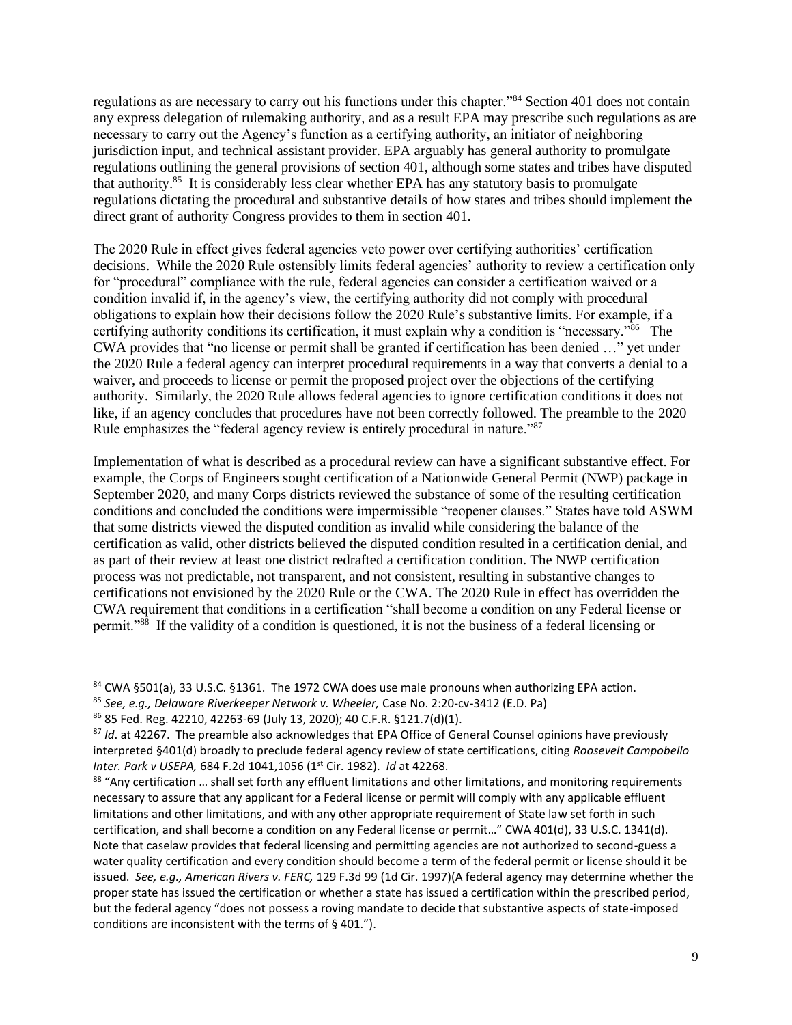regulations as are necessary to carry out his functions under this chapter."<sup>84</sup> Section 401 does not contain any express delegation of rulemaking authority, and as a result EPA may prescribe such regulations as are necessary to carry out the Agency's function as a certifying authority, an initiator of neighboring jurisdiction input, and technical assistant provider. EPA arguably has general authority to promulgate regulations outlining the general provisions of section 401, although some states and tribes have disputed that authority.<sup>85</sup> It is considerably less clear whether EPA has any statutory basis to promulgate regulations dictating the procedural and substantive details of how states and tribes should implement the direct grant of authority Congress provides to them in section 401.

The 2020 Rule in effect gives federal agencies veto power over certifying authorities' certification decisions. While the 2020 Rule ostensibly limits federal agencies' authority to review a certification only for "procedural" compliance with the rule, federal agencies can consider a certification waived or a condition invalid if, in the agency's view, the certifying authority did not comply with procedural obligations to explain how their decisions follow the 2020 Rule's substantive limits. For example, if a certifying authority conditions its certification, it must explain why a condition is "necessary."<sup>86</sup> The CWA provides that "no license or permit shall be granted if certification has been denied …" yet under the 2020 Rule a federal agency can interpret procedural requirements in a way that converts a denial to a waiver, and proceeds to license or permit the proposed project over the objections of the certifying authority. Similarly, the 2020 Rule allows federal agencies to ignore certification conditions it does not like, if an agency concludes that procedures have not been correctly followed. The preamble to the 2020 Rule emphasizes the "federal agency review is entirely procedural in nature."<sup>87</sup>

Implementation of what is described as a procedural review can have a significant substantive effect. For example, the Corps of Engineers sought certification of a Nationwide General Permit (NWP) package in September 2020, and many Corps districts reviewed the substance of some of the resulting certification conditions and concluded the conditions were impermissible "reopener clauses." States have told ASWM that some districts viewed the disputed condition as invalid while considering the balance of the certification as valid, other districts believed the disputed condition resulted in a certification denial, and as part of their review at least one district redrafted a certification condition. The NWP certification process was not predictable, not transparent, and not consistent, resulting in substantive changes to certifications not envisioned by the 2020 Rule or the CWA. The 2020 Rule in effect has overridden the CWA requirement that conditions in a certification "shall become a condition on any Federal license or permit."<sup>88</sup> If the validity of a condition is questioned, it is not the business of a federal licensing or

<sup>84</sup> CWA §501(a), 33 U.S.C. §1361. The 1972 CWA does use male pronouns when authorizing EPA action.

<sup>85</sup> *See, e.g., Delaware Riverkeeper Network v. Wheeler,* Case No. 2:20-cv-3412 (E.D. Pa)

<sup>86</sup> 85 Fed. Reg. 42210, 42263-69 (July 13, 2020); 40 C.F.R. §121.7(d)(1).

<sup>87</sup> *Id*. at 42267. The preamble also acknowledges that EPA Office of General Counsel opinions have previously interpreted §401(d) broadly to preclude federal agency review of state certifications, citing *Roosevelt Campobello Inter. Park v USEPA,* 684 F.2d 1041,1056 (1st Cir. 1982). *Id* at 42268.

<sup>88 &</sup>quot;Any certification ... shall set forth any effluent limitations and other limitations, and monitoring requirements necessary to assure that any applicant for a Federal license or permit will comply with any applicable effluent limitations and other limitations, and with any other appropriate requirement of State law set forth in such certification, and shall become a condition on any Federal license or permit…" CWA 401(d), 33 U.S.C. 1341(d). Note that caselaw provides that federal licensing and permitting agencies are not authorized to second-guess a water quality certification and every condition should become a term of the federal permit or license should it be issued. *See, e.g., American Rivers v. FERC,* 129 F.3d 99 (1d Cir. 1997)(A federal agency may determine whether the proper state has issued the certification or whether a state has issued a certification within the prescribed period, but the federal agency "does not possess a roving mandate to decide that substantive aspects of state-imposed conditions are inconsistent with the terms of § 401.").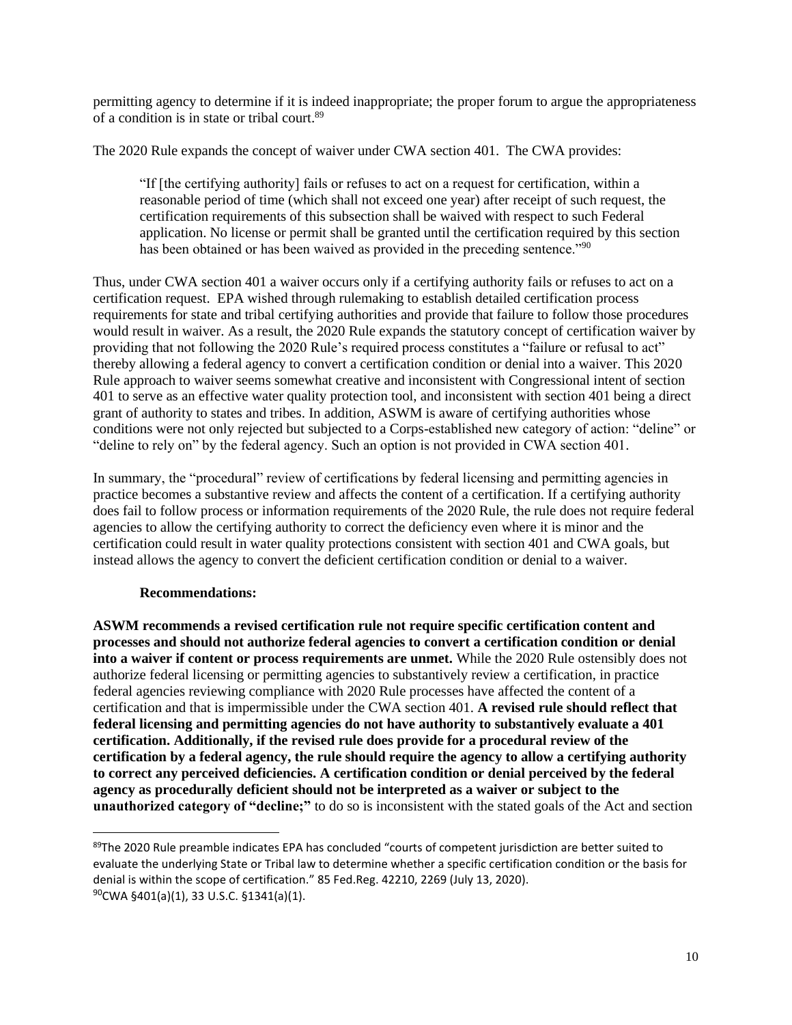permitting agency to determine if it is indeed inappropriate; the proper forum to argue the appropriateness of a condition is in state or tribal court.<sup>89</sup>

The 2020 Rule expands the concept of waiver under CWA section 401. The CWA provides:

"If [the certifying authority] fails or refuses to act on a request for certification, within a reasonable period of time (which shall not exceed one year) after receipt of such request, the certification requirements of this subsection shall be waived with respect to such Federal application. No license or permit shall be granted until the certification required by this section has been obtained or has been waived as provided in the preceding sentence."<sup>90</sup>

Thus, under CWA section 401 a waiver occurs only if a certifying authority fails or refuses to act on a certification request. EPA wished through rulemaking to establish detailed certification process requirements for state and tribal certifying authorities and provide that failure to follow those procedures would result in waiver. As a result, the 2020 Rule expands the statutory concept of certification waiver by providing that not following the 2020 Rule's required process constitutes a "failure or refusal to act" thereby allowing a federal agency to convert a certification condition or denial into a waiver. This 2020 Rule approach to waiver seems somewhat creative and inconsistent with Congressional intent of section 401 to serve as an effective water quality protection tool, and inconsistent with section 401 being a direct grant of authority to states and tribes. In addition, ASWM is aware of certifying authorities whose conditions were not only rejected but subjected to a Corps-established new category of action: "deline" or "deline to rely on" by the federal agency. Such an option is not provided in CWA section 401.

In summary, the "procedural" review of certifications by federal licensing and permitting agencies in practice becomes a substantive review and affects the content of a certification. If a certifying authority does fail to follow process or information requirements of the 2020 Rule, the rule does not require federal agencies to allow the certifying authority to correct the deficiency even where it is minor and the certification could result in water quality protections consistent with section 401 and CWA goals, but instead allows the agency to convert the deficient certification condition or denial to a waiver.

#### **Recommendations:**

**ASWM recommends a revised certification rule not require specific certification content and processes and should not authorize federal agencies to convert a certification condition or denial into a waiver if content or process requirements are unmet.** While the 2020 Rule ostensibly does not authorize federal licensing or permitting agencies to substantively review a certification, in practice federal agencies reviewing compliance with 2020 Rule processes have affected the content of a certification and that is impermissible under the CWA section 401. **A revised rule should reflect that federal licensing and permitting agencies do not have authority to substantively evaluate a 401 certification. Additionally, if the revised rule does provide for a procedural review of the certification by a federal agency, the rule should require the agency to allow a certifying authority to correct any perceived deficiencies. A certification condition or denial perceived by the federal agency as procedurally deficient should not be interpreted as a waiver or subject to the unauthorized category of "decline;"** to do so is inconsistent with the stated goals of the Act and section

<sup>89</sup>The 2020 Rule preamble indicates EPA has concluded "courts of competent jurisdiction are better suited to evaluate the underlying State or Tribal law to determine whether a specific certification condition or the basis for denial is within the scope of certification." 85 Fed.Reg. 42210, 2269 (July 13, 2020).  $90$ CWA §401(a)(1), 33 U.S.C. §1341(a)(1).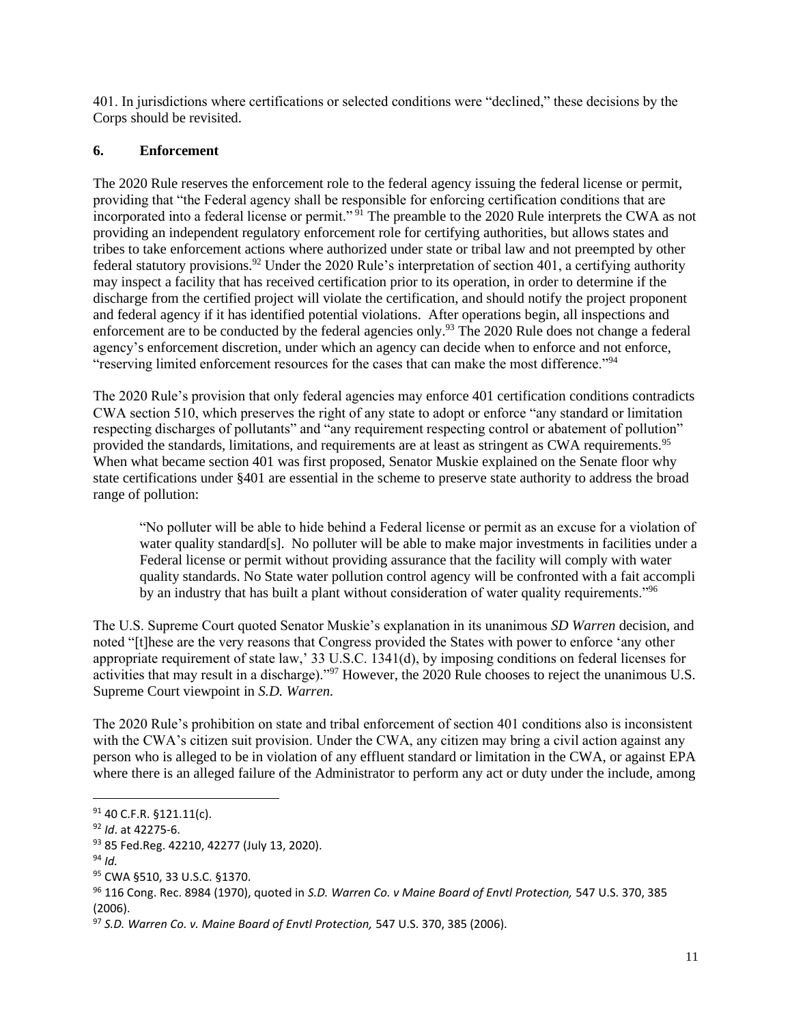401. In jurisdictions where certifications or selected conditions were "declined," these decisions by the Corps should be revisited.

## **6. Enforcement**

The 2020 Rule reserves the enforcement role to the federal agency issuing the federal license or permit, providing that "the Federal agency shall be responsible for enforcing certification conditions that are incorporated into a federal license or permit."<sup>91</sup> The preamble to the 2020 Rule interprets the CWA as not providing an independent regulatory enforcement role for certifying authorities, but allows states and tribes to take enforcement actions where authorized under state or tribal law and not preempted by other federal statutory provisions.<sup>92</sup> Under the 2020 Rule's interpretation of section 401, a certifying authority may inspect a facility that has received certification prior to its operation, in order to determine if the discharge from the certified project will violate the certification, and should notify the project proponent and federal agency if it has identified potential violations. After operations begin, all inspections and enforcement are to be conducted by the federal agencies only.<sup>93</sup> The 2020 Rule does not change a federal agency's enforcement discretion, under which an agency can decide when to enforce and not enforce, "reserving limited enforcement resources for the cases that can make the most difference."<sup>94</sup>

The 2020 Rule's provision that only federal agencies may enforce 401 certification conditions contradicts CWA section 510, which preserves the right of any state to adopt or enforce "any standard or limitation respecting discharges of pollutants" and "any requirement respecting control or abatement of pollution" provided the standards, limitations, and requirements are at least as stringent as CWA requirements.<sup>95</sup> When what became section 401 was first proposed, Senator Muskie explained on the Senate floor why state certifications under §401 are essential in the scheme to preserve state authority to address the broad range of pollution:

"No polluter will be able to hide behind a Federal license or permit as an excuse for a violation of water quality standard[s]. No polluter will be able to make major investments in facilities under a Federal license or permit without providing assurance that the facility will comply with water quality standards. No State water pollution control agency will be confronted with a fait accompli by an industry that has built a plant without consideration of water quality requirements."<sup>96</sup>

The U.S. Supreme Court quoted Senator Muskie's explanation in its unanimous *SD Warren* decision, and noted "[t]hese are the very reasons that Congress provided the States with power to enforce 'any other appropriate requirement of state law,' 33 U.S.C. 1341(d), by imposing conditions on federal licenses for activities that may result in a discharge)."<sup>97</sup> However, the 2020 Rule chooses to reject the unanimous U.S. Supreme Court viewpoint in *S.D. Warren.*

The 2020 Rule's prohibition on state and tribal enforcement of section 401 conditions also is inconsistent with the CWA's citizen suit provision. Under the CWA, any citizen may bring a civil action against any person who is alleged to be in violation of any effluent standard or limitation in the CWA, or against EPA where there is an alleged failure of the Administrator to perform any act or duty under the include, among

<sup>91 40</sup> C.F.R. §121.11(c).

<sup>92</sup> *Id*. at 42275-6.

<sup>93 85</sup> Fed.Reg. 42210, 42277 (July 13, 2020).

<sup>94</sup> *Id.*

<sup>95</sup> CWA §510, 33 U.S.C. §1370.

<sup>96</sup> 116 Cong. Rec. 8984 (1970), quoted in *S.D. Warren Co. v Maine Board of Envtl Protection,* 547 U.S. 370, 385 (2006).

<sup>97</sup> *S.D. Warren Co. v. Maine Board of Envtl Protection,* 547 U.S. 370, 385 (2006).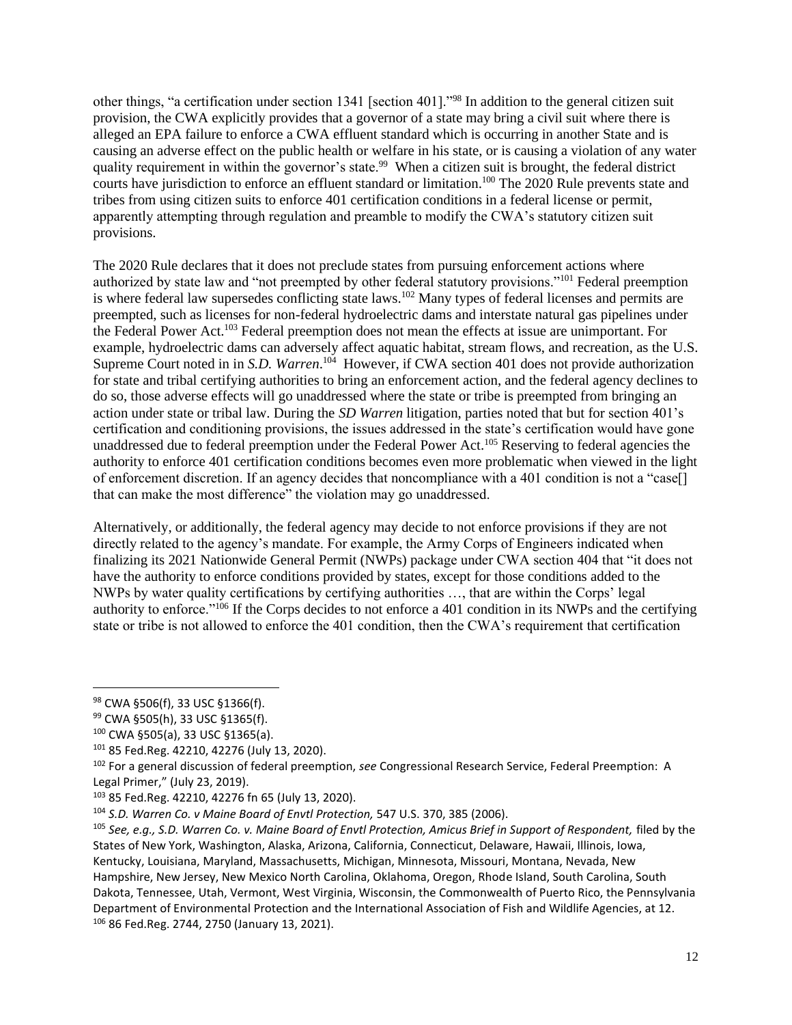other things, "a certification under section 1341 [section 401]."<sup>98</sup> In addition to the general citizen suit provision, the CWA explicitly provides that a governor of a state may bring a civil suit where there is alleged an EPA failure to enforce a CWA effluent standard which is occurring in another State and is causing an adverse effect on the public health or welfare in his state, or is causing a violation of any water quality requirement in within the governor's state.<sup>99</sup> When a citizen suit is brought, the federal district courts have jurisdiction to enforce an effluent standard or limitation.<sup>100</sup> The 2020 Rule prevents state and tribes from using citizen suits to enforce 401 certification conditions in a federal license or permit, apparently attempting through regulation and preamble to modify the CWA's statutory citizen suit provisions.

The 2020 Rule declares that it does not preclude states from pursuing enforcement actions where authorized by state law and "not preempted by other federal statutory provisions."<sup>101</sup> Federal preemption is where federal law supersedes conflicting state laws.<sup>102</sup> Many types of federal licenses and permits are preempted, such as licenses for non-federal hydroelectric dams and interstate natural gas pipelines under the Federal Power Act.<sup>103</sup> Federal preemption does not mean the effects at issue are unimportant. For example, hydroelectric dams can adversely affect aquatic habitat, stream flows, and recreation, as the U.S. Supreme Court noted in in *S.D. Warren*.<sup>104</sup> However, if CWA section 401 does not provide authorization for state and tribal certifying authorities to bring an enforcement action, and the federal agency declines to do so, those adverse effects will go unaddressed where the state or tribe is preempted from bringing an action under state or tribal law. During the *SD Warren* litigation, parties noted that but for section 401's certification and conditioning provisions, the issues addressed in the state's certification would have gone unaddressed due to federal preemption under the Federal Power Act.<sup>105</sup> Reserving to federal agencies the authority to enforce 401 certification conditions becomes even more problematic when viewed in the light of enforcement discretion. If an agency decides that noncompliance with a 401 condition is not a "case[] that can make the most difference" the violation may go unaddressed.

Alternatively, or additionally, the federal agency may decide to not enforce provisions if they are not directly related to the agency's mandate. For example, the Army Corps of Engineers indicated when finalizing its 2021 Nationwide General Permit (NWPs) package under CWA section 404 that "it does not have the authority to enforce conditions provided by states, except for those conditions added to the NWPs by water quality certifications by certifying authorities …, that are within the Corps' legal authority to enforce."<sup>106</sup> If the Corps decides to not enforce a 401 condition in its NWPs and the certifying state or tribe is not allowed to enforce the 401 condition, then the CWA's requirement that certification

<sup>98</sup> CWA §506(f), 33 USC §1366(f).

<sup>99</sup> CWA §505(h), 33 USC §1365(f).

<sup>100</sup> CWA §505(a), 33 USC §1365(a).

<sup>101</sup> 85 Fed.Reg. 42210, 42276 (July 13, 2020).

<sup>102</sup> For a general discussion of federal preemption, *see* Congressional Research Service, Federal Preemption: A Legal Primer," (July 23, 2019).

<sup>103</sup> 85 Fed.Reg. 42210, 42276 fn 65 (July 13, 2020).

<sup>104</sup> *S.D. Warren Co. v Maine Board of Envtl Protection,* 547 U.S. 370, 385 (2006).

<sup>&</sup>lt;sup>105</sup> See, e.q., S.D. Warren Co. v. Maine Board of Envtl Protection, Amicus Brief in Support of Respondent, filed by the States of New York, Washington, Alaska, Arizona, California, Connecticut, Delaware, Hawaii, Illinois, Iowa, Kentucky, Louisiana, Maryland, Massachusetts, Michigan, Minnesota, Missouri, Montana, Nevada, New Hampshire, New Jersey, New Mexico North Carolina, Oklahoma, Oregon, Rhode Island, South Carolina, South Dakota, Tennessee, Utah, Vermont, West Virginia, Wisconsin, the Commonwealth of Puerto Rico, the Pennsylvania Department of Environmental Protection and the International Association of Fish and Wildlife Agencies, at 12. <sup>106</sup> 86 Fed.Reg. 2744, 2750 (January 13, 2021).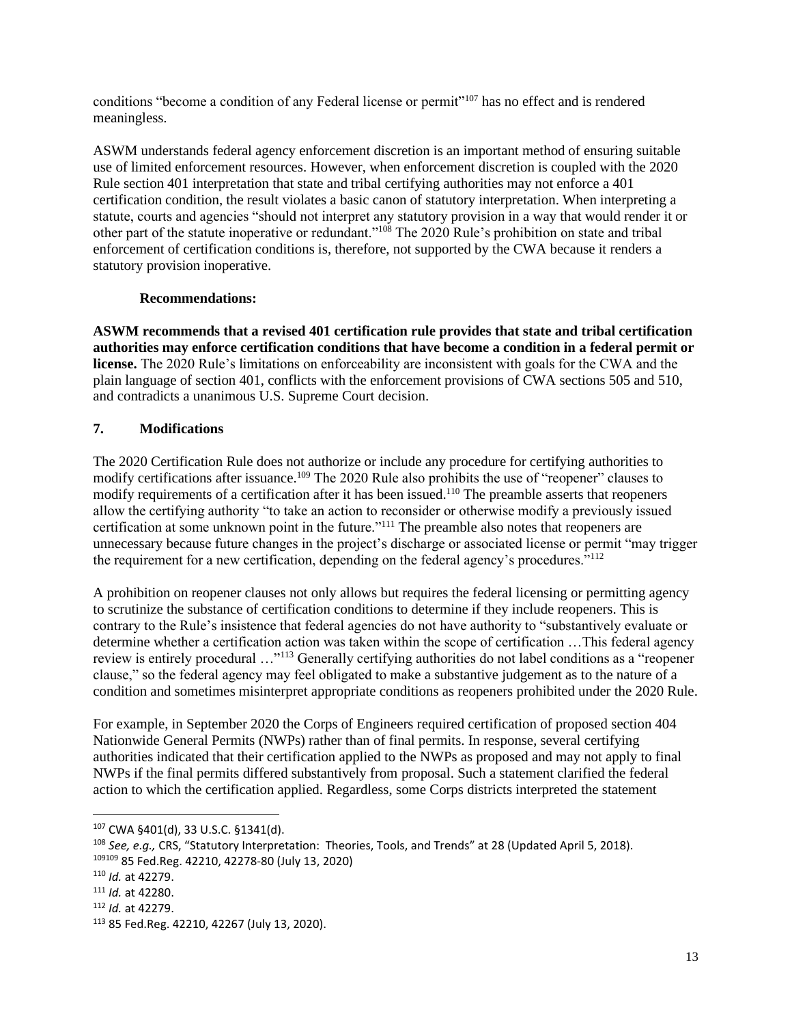conditions "become a condition of any Federal license or permit"<sup>107</sup> has no effect and is rendered meaningless.

ASWM understands federal agency enforcement discretion is an important method of ensuring suitable use of limited enforcement resources. However, when enforcement discretion is coupled with the 2020 Rule section 401 interpretation that state and tribal certifying authorities may not enforce a 401 certification condition, the result violates a basic canon of statutory interpretation. When interpreting a statute, courts and agencies "should not interpret any statutory provision in a way that would render it or other part of the statute inoperative or redundant."<sup>108</sup> The 2020 Rule's prohibition on state and tribal enforcement of certification conditions is, therefore, not supported by the CWA because it renders a statutory provision inoperative.

### **Recommendations:**

**ASWM recommends that a revised 401 certification rule provides that state and tribal certification authorities may enforce certification conditions that have become a condition in a federal permit or license.** The 2020 Rule's limitations on enforceability are inconsistent with goals for the CWA and the plain language of section 401, conflicts with the enforcement provisions of CWA sections 505 and 510, and contradicts a unanimous U.S. Supreme Court decision.

# **7. Modifications**

The 2020 Certification Rule does not authorize or include any procedure for certifying authorities to modify certifications after issuance.<sup>109</sup> The 2020 Rule also prohibits the use of "reopener" clauses to modify requirements of a certification after it has been issued.<sup>110</sup> The preamble asserts that reopeners allow the certifying authority "to take an action to reconsider or otherwise modify a previously issued certification at some unknown point in the future."<sup>111</sup> The preamble also notes that reopeners are unnecessary because future changes in the project's discharge or associated license or permit "may trigger the requirement for a new certification, depending on the federal agency's procedures."<sup>112</sup>

A prohibition on reopener clauses not only allows but requires the federal licensing or permitting agency to scrutinize the substance of certification conditions to determine if they include reopeners. This is contrary to the Rule's insistence that federal agencies do not have authority to "substantively evaluate or determine whether a certification action was taken within the scope of certification …This federal agency review is entirely procedural …"<sup>113</sup> Generally certifying authorities do not label conditions as a "reopener clause," so the federal agency may feel obligated to make a substantive judgement as to the nature of a condition and sometimes misinterpret appropriate conditions as reopeners prohibited under the 2020 Rule.

For example, in September 2020 the Corps of Engineers required certification of proposed section 404 Nationwide General Permits (NWPs) rather than of final permits. In response, several certifying authorities indicated that their certification applied to the NWPs as proposed and may not apply to final NWPs if the final permits differed substantively from proposal. Such a statement clarified the federal action to which the certification applied. Regardless, some Corps districts interpreted the statement

<sup>107</sup> CWA §401(d), 33 U.S.C. §1341(d).

<sup>108</sup> *See, e.g.,* CRS, "Statutory Interpretation: Theories, Tools, and Trends" at 28 (Updated April 5, 2018). <sup>109109</sup> 85 Fed.Reg. 42210, 42278-80 (July 13, 2020)

<sup>110</sup> *Id.* at 42279.

<sup>111</sup> *Id.* at 42280.

<sup>112</sup> *Id.* at 42279.

<sup>113</sup> 85 Fed.Reg. 42210, 42267 (July 13, 2020).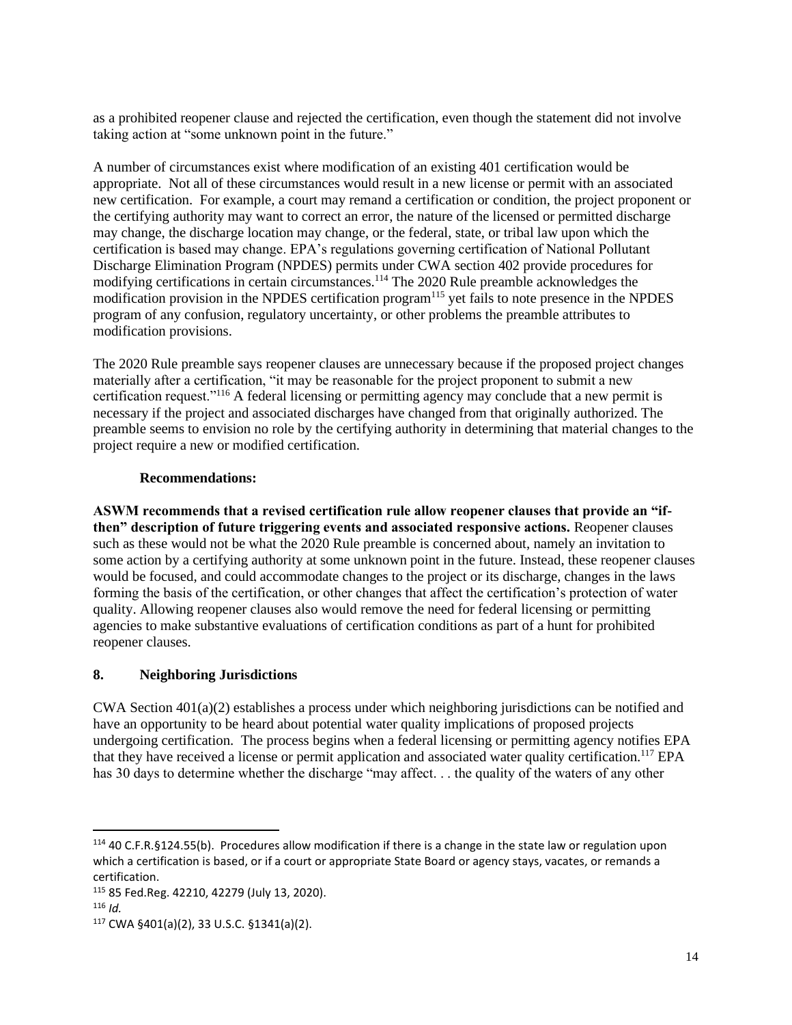as a prohibited reopener clause and rejected the certification, even though the statement did not involve taking action at "some unknown point in the future."

A number of circumstances exist where modification of an existing 401 certification would be appropriate. Not all of these circumstances would result in a new license or permit with an associated new certification. For example, a court may remand a certification or condition, the project proponent or the certifying authority may want to correct an error, the nature of the licensed or permitted discharge may change, the discharge location may change, or the federal, state, or tribal law upon which the certification is based may change. EPA's regulations governing certification of National Pollutant Discharge Elimination Program (NPDES) permits under CWA section 402 provide procedures for modifying certifications in certain circumstances.<sup>114</sup> The 2020 Rule preamble acknowledges the modification provision in the NPDES certification program<sup>115</sup> yet fails to note presence in the NPDES program of any confusion, regulatory uncertainty, or other problems the preamble attributes to modification provisions.

The 2020 Rule preamble says reopener clauses are unnecessary because if the proposed project changes materially after a certification, "it may be reasonable for the project proponent to submit a new certification request."<sup>116</sup> A federal licensing or permitting agency may conclude that a new permit is necessary if the project and associated discharges have changed from that originally authorized. The preamble seems to envision no role by the certifying authority in determining that material changes to the project require a new or modified certification.

#### **Recommendations:**

**ASWM recommends that a revised certification rule allow reopener clauses that provide an "ifthen" description of future triggering events and associated responsive actions.** Reopener clauses such as these would not be what the 2020 Rule preamble is concerned about, namely an invitation to some action by a certifying authority at some unknown point in the future. Instead, these reopener clauses would be focused, and could accommodate changes to the project or its discharge, changes in the laws forming the basis of the certification, or other changes that affect the certification's protection of water quality. Allowing reopener clauses also would remove the need for federal licensing or permitting agencies to make substantive evaluations of certification conditions as part of a hunt for prohibited reopener clauses.

#### **8. Neighboring Jurisdictions**

CWA Section 401(a)(2) establishes a process under which neighboring jurisdictions can be notified and have an opportunity to be heard about potential water quality implications of proposed projects undergoing certification. The process begins when a federal licensing or permitting agency notifies EPA that they have received a license or permit application and associated water quality certification.<sup>117</sup> EPA has 30 days to determine whether the discharge "may affect... the quality of the waters of any other

<sup>114</sup> 40 C.F.R.§124.55(b). Procedures allow modification if there is a change in the state law or regulation upon which a certification is based, or if a court or appropriate State Board or agency stays, vacates, or remands a certification.

<sup>115</sup> 85 Fed.Reg. 42210, 42279 (July 13, 2020).

<sup>116</sup> *Id.*

<sup>117</sup> CWA §401(a)(2), 33 U.S.C. §1341(a)(2).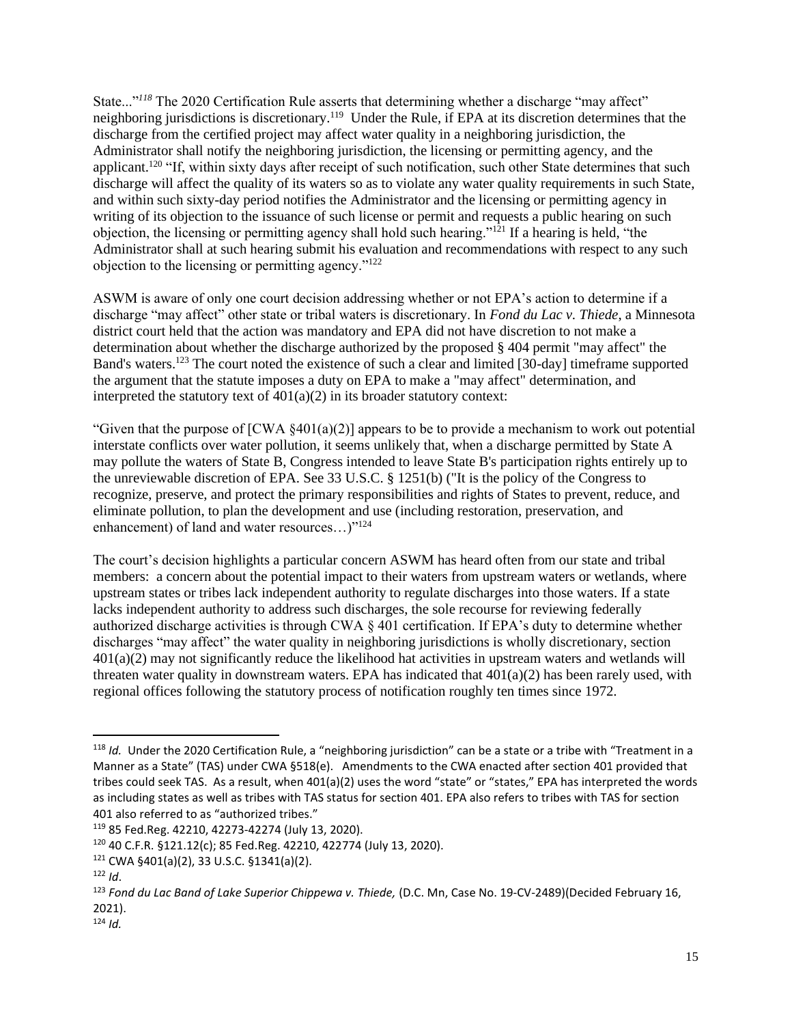State..."<sup>118</sup> The 2020 Certification Rule asserts that determining whether a discharge "may affect" neighboring jurisdictions is discretionary.<sup>119</sup> Under the Rule, if EPA at its discretion determines that the discharge from the certified project may affect water quality in a neighboring jurisdiction, the Administrator shall notify the neighboring jurisdiction, the licensing or permitting agency, and the applicant.<sup>120</sup> "If, within sixty days after receipt of such notification, such other State determines that such discharge will affect the quality of its waters so as to violate any water quality requirements in such State, and within such sixty-day period notifies the Administrator and the licensing or permitting agency in writing of its objection to the issuance of such license or permit and requests a public hearing on such objection, the licensing or permitting agency shall hold such hearing."<sup>121</sup> If a hearing is held, "the Administrator shall at such hearing submit his evaluation and recommendations with respect to any such objection to the licensing or permitting agency."<sup>122</sup>

ASWM is aware of only one court decision addressing whether or not EPA's action to determine if a discharge "may affect" other state or tribal waters is discretionary. In *Fond du Lac v. Thiede*, a Minnesota district court held that the action was mandatory and EPA did not have discretion to not make a determination about whether the discharge authorized by the proposed § 404 permit "may affect" the Band's waters.<sup>123</sup> The court noted the existence of such a clear and limited [30-day] timeframe supported the argument that the statute imposes a duty on EPA to make a "may affect" determination, and interpreted the statutory text of  $401(a)(2)$  in its broader statutory context:

"Given that the purpose of  $[CWA \ \xi 401(a)(2)]$  appears to be to provide a mechanism to work out potential interstate conflicts over water pollution, it seems unlikely that, when a discharge permitted by State A may pollute the waters of State B, Congress intended to leave State B's participation rights entirely up to the unreviewable discretion of EPA. See 33 U.S.C. § 1251(b) ("It is the policy of the Congress to recognize, preserve, and protect the primary responsibilities and rights of States to prevent, reduce, and eliminate pollution, to plan the development and use (including restoration, preservation, and enhancement) of land and water resources...)"<sup>124</sup>

The court's decision highlights a particular concern ASWM has heard often from our state and tribal members: a concern about the potential impact to their waters from upstream waters or wetlands, where upstream states or tribes lack independent authority to regulate discharges into those waters. If a state lacks independent authority to address such discharges, the sole recourse for reviewing federally authorized discharge activities is through CWA  $\S$  401 certification. If EPA's duty to determine whether discharges "may affect" the water quality in neighboring jurisdictions is wholly discretionary, section 401(a)(2) may not significantly reduce the likelihood hat activities in upstream waters and wetlands will threaten water quality in downstream waters. EPA has indicated that  $401(a)(2)$  has been rarely used, with regional offices following the statutory process of notification roughly ten times since 1972.

<sup>118</sup> *Id.* Under the 2020 Certification Rule, a "neighboring jurisdiction" can be a state or a tribe with "Treatment in a Manner as a State" (TAS) under CWA §518(e). Amendments to the CWA enacted after section 401 provided that tribes could seek TAS. As a result, when 401(a)(2) uses the word "state" or "states," EPA has interpreted the words as including states as well as tribes with TAS status for section 401. EPA also refers to tribes with TAS for section 401 also referred to as "authorized tribes."

<sup>119</sup> 85 Fed.Reg. 42210, 42273-42274 (July 13, 2020).

<sup>120</sup> 40 C.F.R. §121.12(c); 85 Fed.Reg. 42210, 422774 (July 13, 2020).

<sup>121</sup> CWA §401(a)(2), 33 U.S.C. §1341(a)(2).

<sup>122</sup> *Id*.

<sup>123</sup> *Fond du Lac Band of Lake Superior Chippewa v. Thiede,* (D.C. Mn, Case No. 19-CV-2489)(Decided February 16, 2021).

 $124$  *Id.*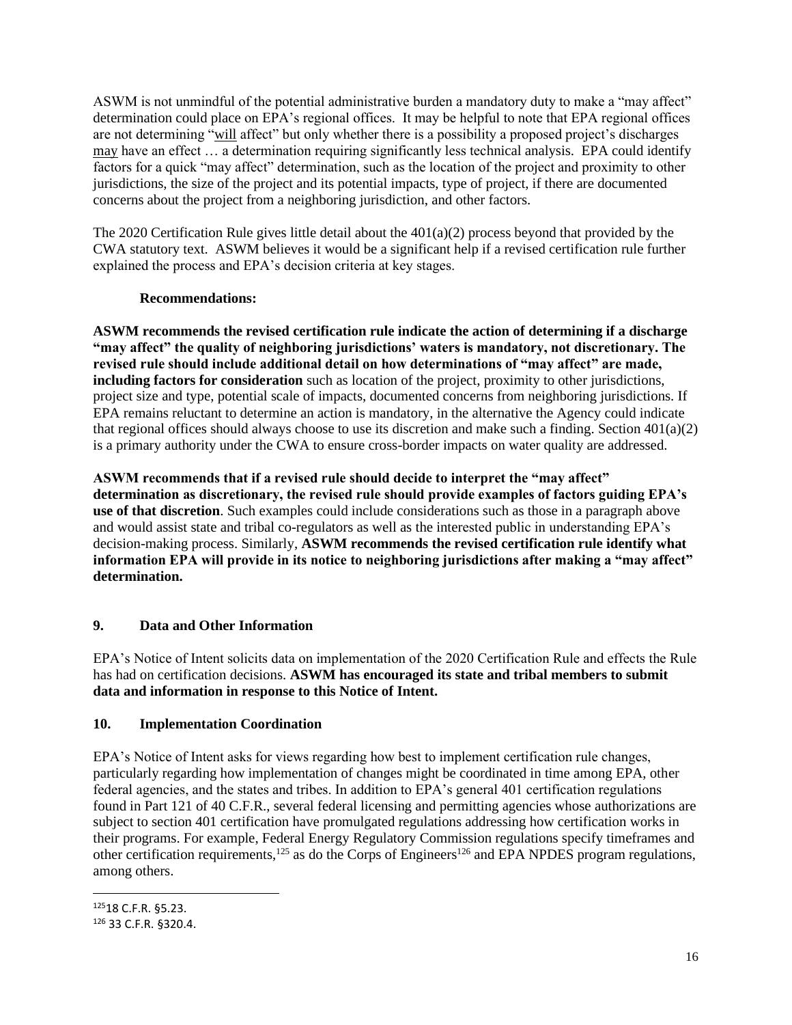ASWM is not unmindful of the potential administrative burden a mandatory duty to make a "may affect" determination could place on EPA's regional offices. It may be helpful to note that EPA regional offices are not determining "will affect" but only whether there is a possibility a proposed project's discharges may have an effect … a determination requiring significantly less technical analysis. EPA could identify factors for a quick "may affect" determination, such as the location of the project and proximity to other jurisdictions, the size of the project and its potential impacts, type of project, if there are documented concerns about the project from a neighboring jurisdiction, and other factors.

The 2020 Certification Rule gives little detail about the 401(a)(2) process beyond that provided by the CWA statutory text. ASWM believes it would be a significant help if a revised certification rule further explained the process and EPA's decision criteria at key stages.

# **Recommendations:**

**ASWM recommends the revised certification rule indicate the action of determining if a discharge "may affect" the quality of neighboring jurisdictions' waters is mandatory, not discretionary. The revised rule should include additional detail on how determinations of "may affect" are made, including factors for consideration** such as location of the project, proximity to other jurisdictions, project size and type, potential scale of impacts, documented concerns from neighboring jurisdictions. If EPA remains reluctant to determine an action is mandatory, in the alternative the Agency could indicate that regional offices should always choose to use its discretion and make such a finding. Section  $401(a)(2)$ is a primary authority under the CWA to ensure cross-border impacts on water quality are addressed.

**ASWM recommends that if a revised rule should decide to interpret the "may affect" determination as discretionary, the revised rule should provide examples of factors guiding EPA's use of that discretion**. Such examples could include considerations such as those in a paragraph above and would assist state and tribal co-regulators as well as the interested public in understanding EPA's decision-making process. Similarly, **ASWM recommends the revised certification rule identify what information EPA will provide in its notice to neighboring jurisdictions after making a "may affect" determination.** 

# **9. Data and Other Information**

EPA's Notice of Intent solicits data on implementation of the 2020 Certification Rule and effects the Rule has had on certification decisions. **ASWM has encouraged its state and tribal members to submit data and information in response to this Notice of Intent.**

# **10. Implementation Coordination**

EPA's Notice of Intent asks for views regarding how best to implement certification rule changes, particularly regarding how implementation of changes might be coordinated in time among EPA, other federal agencies, and the states and tribes. In addition to EPA's general 401 certification regulations found in Part 121 of 40 C.F.R., several federal licensing and permitting agencies whose authorizations are subject to section 401 certification have promulgated regulations addressing how certification works in their programs. For example, Federal Energy Regulatory Commission regulations specify timeframes and other certification requirements,<sup>125</sup> as do the Corps of Engineers<sup>126</sup> and EPA NPDES program regulations, among others.

<sup>125</sup>18 C.F.R. §5.23.

<sup>126</sup> 33 C.F.R. §320.4.